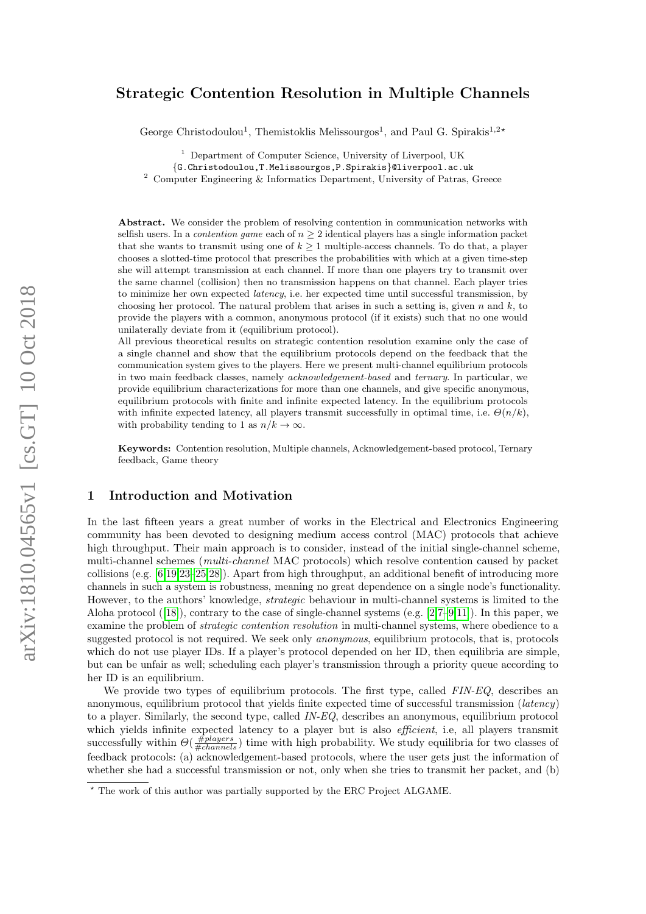# arXiv:1810.04565v1 [cs.GT] 10 Oct 2018 arXiv:1810.04565v1 [cs.GT] 10 Oct 2018

# Strategic Contention Resolution in Multiple Channels

George Christodoulou<sup>1</sup>, Themistoklis Melissourgos<sup>1</sup>, and Paul G. Spirakis<sup>1,2\*</sup>

<sup>1</sup> Department of Computer Science, University of Liverpool, UK

{G.Christodoulou,T.Melissourgos,P.Spirakis}@liverpool.ac.uk

<sup>2</sup> Computer Engineering & Informatics Department, University of Patras, Greece

Abstract. We consider the problem of resolving contention in communication networks with selfish users. In a *contention game* each of  $n \geq 2$  identical players has a single information packet that she wants to transmit using one of  $k \geq 1$  multiple-access channels. To do that, a player chooses a slotted-time protocol that prescribes the probabilities with which at a given time-step she will attempt transmission at each channel. If more than one players try to transmit over the same channel (collision) then no transmission happens on that channel. Each player tries to minimize her own expected *latency*, i.e. her expected time until successful transmission, by choosing her protocol. The natural problem that arises in such a setting is, given n and  $k$ , to provide the players with a common, anonymous protocol (if it exists) such that no one would unilaterally deviate from it (equilibrium protocol).

All previous theoretical results on strategic contention resolution examine only the case of a single channel and show that the equilibrium protocols depend on the feedback that the communication system gives to the players. Here we present multi-channel equilibrium protocols in two main feedback classes, namely acknowledgement-based and ternary. In particular, we provide equilibrium characterizations for more than one channels, and give specific anonymous, equilibrium protocols with finite and infinite expected latency. In the equilibrium protocols with infinite expected latency, all players transmit successfully in optimal time, i.e.  $\Theta(n/k)$ , with probability tending to 1 as  $n/k \to \infty$ .

Keywords: Contention resolution, Multiple channels, Acknowledgement-based protocol, Ternary feedback, Game theory

#### <span id="page-0-0"></span>1 Introduction and Motivation

In the last fifteen years a great number of works in the Electrical and Electronics Engineering community has been devoted to designing medium access control (MAC) protocols that achieve high throughput. Their main approach is to consider, instead of the initial single-channel scheme, multi-channel schemes (multi-channel MAC protocols) which resolve contention caused by packet collisions (e.g. [\[6](#page-25-0)[,19,](#page-26-0)[23](#page-26-1)[–25,](#page-26-2)[28\]](#page-26-3)). Apart from high throughput, an additional benefit of introducing more channels in such a system is robustness, meaning no great dependence on a single node's functionality. However, to the authors' knowledge, strategic behaviour in multi-channel systems is limited to the Aloha protocol  $([18])$  $([18])$  $([18])$ , contrary to the case of single-channel systems (e.g.  $[2,7-9,11]$  $[2,7-9,11]$  $[2,7-9,11]$  $[2,7-9,11]$ ). In this paper, we examine the problem of strategic contention resolution in multi-channel systems, where obedience to a suggested protocol is not required. We seek only anonymous, equilibrium protocols, that is, protocols which do not use player IDs. If a player's protocol depended on her ID, then equilibria are simple, but can be unfair as well; scheduling each player's transmission through a priority queue according to her ID is an equilibrium.

We provide two types of equilibrium protocols. The first type, called FIN-EQ, describes an anonymous, equilibrium protocol that yields finite expected time of successful transmission (latency) to a player. Similarly, the second type, called IN-EQ, describes an anonymous, equilibrium protocol which yields infinite expected latency to a player but is also *efficient*, i.e, all players transmit successfully within  $\Theta(\frac{\# players}{\#channels})$  time with high probability. We study equilibria for two classes of feedback protocols: (a) acknowledgement-based protocols, where the user gets just the information of whether she had a successful transmission or not, only when she tries to transmit her packet, and (b)

<sup>?</sup> The work of this author was partially supported by the ERC Project ALGAME.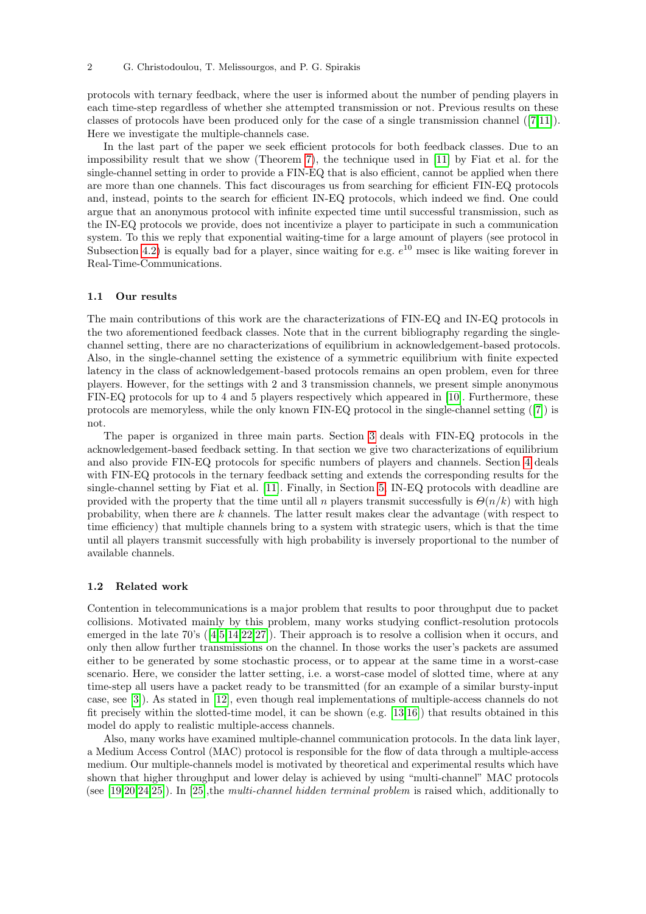protocols with ternary feedback, where the user is informed about the number of pending players in each time-step regardless of whether she attempted transmission or not. Previous results on these classes of protocols have been produced only for the case of a single transmission channel ([\[7,](#page-25-2)[11\]](#page-26-6)). Here we investigate the multiple-channels case.

In the last part of the paper we seek efficient protocols for both feedback classes. Due to an impossibility result that we show (Theorem [7\)](#page-17-0), the technique used in [\[11\]](#page-26-6) by Fiat et al. for the single-channel setting in order to provide a FIN-EQ that is also efficient, cannot be applied when there are more than one channels. This fact discourages us from searching for efficient FIN-EQ protocols and, instead, points to the search for efficient IN-EQ protocols, which indeed we find. One could argue that an anonymous protocol with infinite expected time until successful transmission, such as the IN-EQ protocols we provide, does not incentivize a player to participate in such a communication system. To this we reply that exponential waiting-time for a large amount of players (see protocol in Subsection [4.2\)](#page-15-0) is equally bad for a player, since waiting for e.g.  $e^{10}$  msec is like waiting forever in Real-Time-Communications.

#### 1.1 Our results

The main contributions of this work are the characterizations of FIN-EQ and IN-EQ protocols in the two aforementioned feedback classes. Note that in the current bibliography regarding the singlechannel setting, there are no characterizations of equilibrium in acknowledgement-based protocols. Also, in the single-channel setting the existence of a symmetric equilibrium with finite expected latency in the class of acknowledgement-based protocols remains an open problem, even for three players. However, for the settings with 2 and 3 transmission channels, we present simple anonymous FIN-EQ protocols for up to 4 and 5 players respectively which appeared in [\[10\]](#page-26-7). Furthermore, these protocols are memoryless, while the only known FIN-EQ protocol in the single-channel setting ([\[7\]](#page-25-2)) is not.

The paper is organized in three main parts. Section [3](#page-4-0) deals with FIN-EQ protocols in the acknowledgement-based feedback setting. In that section we give two characterizations of equilibrium and also provide FIN-EQ protocols for specific numbers of players and channels. Section [4](#page-14-0) deals with FIN-EQ protocols in the ternary feedback setting and extends the corresponding results for the single-channel setting by Fiat et al. [\[11\]](#page-26-6). Finally, in Section [5,](#page-17-1) IN-EQ protocols with deadline are provided with the property that the time until all n players transmit successfully is  $\Theta(n/k)$  with high probability, when there are k channels. The latter result makes clear the advantage (with respect to time efficiency) that multiple channels bring to a system with strategic users, which is that the time until all players transmit successfully with high probability is inversely proportional to the number of available channels.

#### 1.2 Related work

Contention in telecommunications is a major problem that results to poor throughput due to packet collisions. Motivated mainly by this problem, many works studying conflict-resolution protocols emerged in the late 70's ([\[4](#page-25-3)[,5,](#page-25-4)[14,](#page-26-8)[22,](#page-26-9)[27\]](#page-26-10)). Their approach is to resolve a collision when it occurs, and only then allow further transmissions on the channel. In those works the user's packets are assumed either to be generated by some stochastic process, or to appear at the same time in a worst-case scenario. Here, we consider the latter setting, i.e. a worst-case model of slotted time, where at any time-step all users have a packet ready to be transmitted (for an example of a similar bursty-input case, see [\[3\]](#page-25-5)). As stated in [\[12\]](#page-26-11), even though real implementations of multiple-access channels do not fit precisely within the slotted-time model, it can be shown (e.g. [\[13,](#page-26-12)[16\]](#page-26-13)) that results obtained in this model do apply to realistic multiple-access channels.

Also, many works have examined multiple-channel communication protocols. In the data link layer, a Medium Access Control (MAC) protocol is responsible for the flow of data through a multiple-access medium. Our multiple-channels model is motivated by theoretical and experimental results which have shown that higher throughput and lower delay is achieved by using "multi-channel" MAC protocols (see  $[19,20,24,25]$  $[19,20,24,25]$  $[19,20,24,25]$  $[19,20,24,25]$ ). In [\[25\]](#page-26-2),the *multi-channel hidden terminal problem* is raised which, additionally to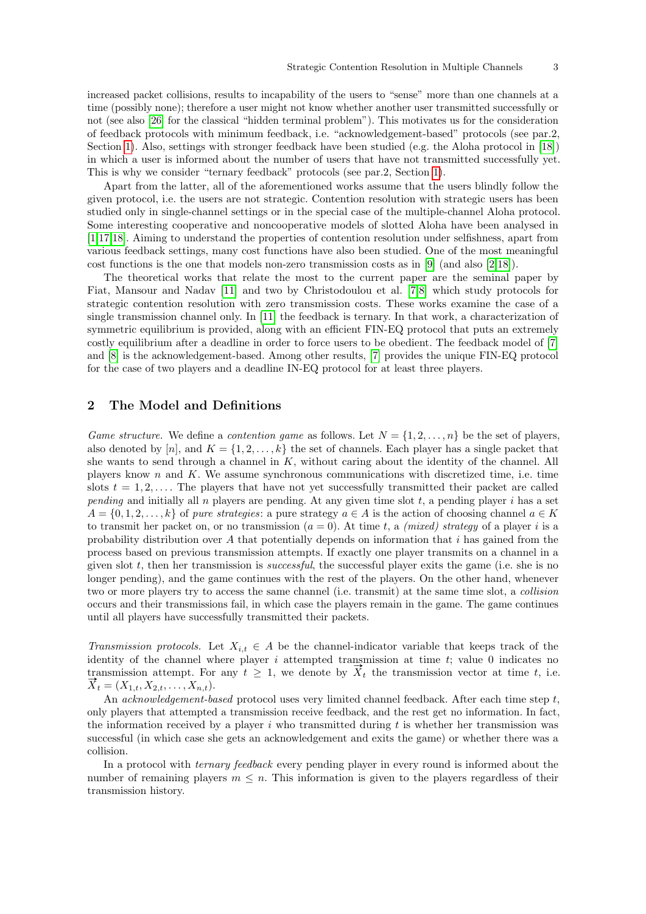increased packet collisions, results to incapability of the users to "sense" more than one channels at a time (possibly none); therefore a user might not know whether another user transmitted successfully or not (see also [\[26\]](#page-26-16) for the classical "hidden terminal problem"). This motivates us for the consideration of feedback protocols with minimum feedback, i.e. "acknowledgement-based" protocols (see par.2, Section [1\)](#page-0-0). Also, settings with stronger feedback have been studied (e.g. the Aloha protocol in [\[18\]](#page-26-4)) in which a user is informed about the number of users that have not transmitted successfully yet. This is why we consider "ternary feedback" protocols (see par.2, Section [1\)](#page-0-0).

Apart from the latter, all of the aforementioned works assume that the users blindly follow the given protocol, i.e. the users are not strategic. Contention resolution with strategic users has been studied only in single-channel settings or in the special case of the multiple-channel Aloha protocol. Some interesting cooperative and noncooperative models of slotted Aloha have been analysed in [\[1](#page-25-6)[,17,](#page-26-17)[18\]](#page-26-4). Aiming to understand the properties of contention resolution under selfishness, apart from various feedback settings, many cost functions have also been studied. One of the most meaningful cost functions is the one that models non-zero transmission costs as in [\[9\]](#page-26-5) (and also  $[2,18]$  $[2,18]$ ).

The theoretical works that relate the most to the current paper are the seminal paper by Fiat, Mansour and Nadav [\[11\]](#page-26-6) and two by Christodoulou et al. [\[7](#page-25-2)[,8\]](#page-26-18) which study protocols for strategic contention resolution with zero transmission costs. These works examine the case of a single transmission channel only. In [\[11\]](#page-26-6) the feedback is ternary. In that work, a characterization of symmetric equilibrium is provided, along with an efficient FIN-EQ protocol that puts an extremely costly equilibrium after a deadline in order to force users to be obedient. The feedback model of [\[7\]](#page-25-2) and [\[8\]](#page-26-18) is the acknowledgement-based. Among other results, [\[7\]](#page-25-2) provides the unique FIN-EQ protocol for the case of two players and a deadline IN-EQ protocol for at least three players.

# 2 The Model and Definitions

Game structure. We define a contention game as follows. Let  $N = \{1, 2, \ldots, n\}$  be the set of players, also denoted by [n], and  $K = \{1, 2, ..., k\}$  the set of channels. Each player has a single packet that she wants to send through a channel in  $K$ , without caring about the identity of the channel. All players know  $n$  and  $K$ . We assume synchronous communications with discretized time, i.e. time slots  $t = 1, 2, \ldots$ . The players that have not yet successfully transmitted their packet are called pending and initially all  $n$  players are pending. At any given time slot  $t$ , a pending player  $i$  has a set  $A = \{0, 1, 2, \ldots, k\}$  of pure strategies: a pure strategy  $a \in A$  is the action of choosing channel  $a \in K$ to transmit her packet on, or no transmission  $(a = 0)$ . At time t, a *(mixed) strategy* of a player i is a probability distribution over  $A$  that potentially depends on information that  $i$  has gained from the process based on previous transmission attempts. If exactly one player transmits on a channel in a given slot  $t$ , then her transmission is *successful*, the successful player exits the game (i.e. she is no longer pending), and the game continues with the rest of the players. On the other hand, whenever two or more players try to access the same channel (i.e. transmit) at the same time slot, a collision occurs and their transmissions fail, in which case the players remain in the game. The game continues until all players have successfully transmitted their packets.

Transmission protocols. Let  $X_{i,t} \in A$  be the channel-indicator variable that keeps track of the identity of the channel where player  $i$  attempted transmission at time  $t$ ; value 0 indicates no transmission attempt. For any  $t \geq 1$ , we denote by  $\overline{X}_t$  the transmission vector at time t, i.e.  $\overline{X}_t = (X_{1,t}, X_{2,t}, \ldots, X_{n,t}).$ 

An *acknowledgement-based* protocol uses very limited channel feedback. After each time step  $t$ , only players that attempted a transmission receive feedback, and the rest get no information. In fact, the information received by a player i who transmitted during t is whether her transmission was successful (in which case she gets an acknowledgement and exits the game) or whether there was a collision.

In a protocol with *ternary feedback* every pending player in every round is informed about the number of remaining players  $m \leq n$ . This information is given to the players regardless of their transmission history.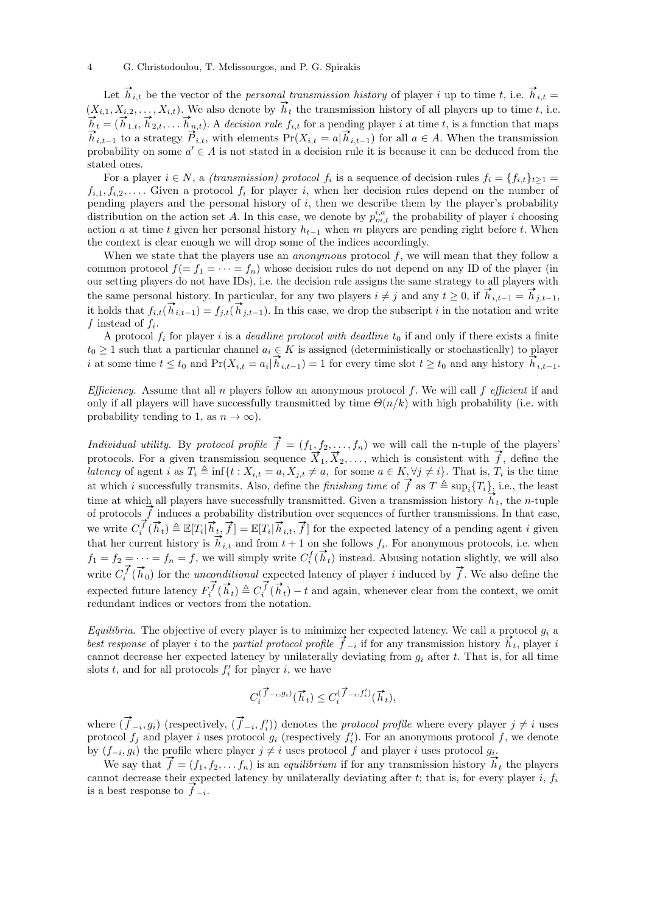Let  $h_{i,t}$  be the vector of the *personal transmission history* of player i up to time t, i.e.  $h_{i,t} =$  $(X_{i,1}, X_{i,2}, \ldots, X_{i,t})$ . We also denote by  $\vec{h}_t$  the transmission history of all players up to time t, i.e.  $\overrightarrow{h}_t = (\overrightarrow{h}_{1,t}, \overrightarrow{h}_{2,t}, \dots, \overrightarrow{h}_{n,t})$ . A decision rule  $f_{i,t}$  for a pending player *i* at time *t*, is a function that maps  $\vec{h}_{i,t-1}$  to a strategy  $\vec{P}_{i,t}$ , with elements  $Pr(X_{i,t} = a | \vec{h}_{i,t-1})$  for all  $a \in A$ . When the transmission probability on some  $a' \in A$  is not stated in a decision rule it is because it can be deduced from the stated ones.

For a player  $i \in N$ , a *(transmission)* protocol  $f_i$  is a sequence of decision rules  $f_i = \{f_{i,t}\}_{t \geq 1}$  $f_{i,1}, f_{i,2}, \ldots$  Given a protocol  $f_i$  for player i, when her decision rules depend on the number of pending players and the personal history of  $i$ , then we describe them by the player's probability distribution on the action set A. In this case, we denote by  $p_{m,t}^{i,a}$  the probability of player i choosing action a at time t given her personal history  $h_{t-1}$  when m players are pending right before t. When the context is clear enough we will drop some of the indices accordingly.

When we state that the players use an *anonymous* protocol  $f$ , we will mean that they follow a common protocol  $f(= f_1 = \cdots = f_n)$  whose decision rules do not depend on any ID of the player (in our setting players do not have IDs), i.e. the decision rule assigns the same strategy to all players with the same personal history. In particular, for any two players  $i \neq j$  and any  $t \geq 0$ , if  $\overline{h}_{i,t-1} = \overline{h}_{j,t-1}$ , it holds that  $f_{i,t}(\vec{h}_{i,t-1}) = f_{j,t}(\vec{h}_{j,t-1})$ . In this case, we drop the subscript i in the notation and write f instead of  $f_i$ .

A protocol  $f_i$  for player i is a *deadline protocol with deadline*  $t_0$  if and only if there exists a finite  $t_0 \geq 1$  such that a particular channel  $a_i \in K$  is assigned (deterministically or stochastically) to player  $i_0 \geq 1$  such that a particular channel  $a_i \in K$  is assigned (deterministically or stochastically) to player i at some time  $t \leq t_0$  and  $Pr(X_{i,t} = a_i | \vec{h}_{i,t-1}) = 1$  for every time slot  $t \geq t_0$  and any history  $\vec{h}_{i,t-1$ 

*Efficiency.* Assume that all n players follow an anonymous protocol f. We will call f efficient if and only if all players will have successfully transmitted by time  $\Theta(n/k)$  with high probability (i.e. with probability tending to 1, as  $n \to \infty$ ).

Individual utility. By protocol profile  $\vec{f} = (f_1, f_2, \ldots, f_n)$  we will call the n-tuple of the players' *protocols.* For a given transmission sequence  $\vec{X}_1, \vec{X}_2, \dots, \vec{X}_n$  which is consistent with  $\vec{f}$ , define the payers latency of agent i as  $T_i \triangleq \inf\{t : X_{i,t} = a, X_{j,t} \neq a, \text{ for some } a \in K, \forall j \neq i\}.$  That is,  $T_i$  is the time at which i successfully transmits. Also, define the *finishing time* of  $\vec{f}$  as  $T \triangleq \sup_i \{T_i\}$ , i.e., the least time at which all players have successfully transmitted. Given a transmission history  $\vec{h}_t$ , the n-tuple of protocols  $\vec{f}$  induces a probability distribution over sequences of further transmissions. In that case, we write  $C_i^{\vec{f}}(\vec{h}_t) \triangleq \mathbb{E}[T_i | \vec{h}_t, \vec{f}] = \mathbb{E}[T_i | \vec{h}_{i,t}, \vec{f}]$  for the expected latency of a pending agent *i* given we write  $C_i$  ( $n_t$ ) =  $\mathbb{E}[I_i|n_t, J] = \mathbb{E}[I_i|n_t, t, J]$  for the expected facency of a pending agent  $i$  given<br>that her current history is  $\vec{h}_{i,t}$  and from  $t + 1$  on she follows  $f_i$ . For anonymous protocols, i.e. when that her current instory is  $n_{i,t}$  and from  $t + 1$  on she follows  $j_i$ . For anonymous protocols, i.e. when  $f_1 = f_2 = \cdots = f_n = f$ , we will simply write  $C_i^f(\vec{h}_t)$  instead. Abusing notation slightly, we will also write  $C_i^{\vec{f}}(\vec{h}_0)$  for the *unconditional* expected latency of player *i* induced by  $\vec{f}$ . We also define the expected future latency  $F_i^{\vec{f}}(\vec{h}_t) \triangleq C_i^{\vec{f}}(\vec{h}_t) - t$  and again, whenever clear from the context, we omit redundant indices or vectors from the notation.

*Equilibria.* The objective of every player is to minimize her expected latency. We call a protocol  $g_i$  a *Equilibria.* The objective of every player is to minimize her expected latency. We call a protocol  $g_i$  a<br>best response of player i to the *partial protocol profile*  $\vec{f}_{-i}$  if for any transmission history  $\vec{h}_t$ , p cannot decrease her expected latency by unilaterally deviating from  $g_i$  after t. That is, for all time slots  $t$ , and for all protocols  $f'_{i}$  for player  $i$ , we have

$$
C_i^{(\overrightarrow{f}_{-i},g_i)}(\overrightarrow{h}_t) \le C_i^{(\overrightarrow{f}_{-i},f_i')}(\overrightarrow{h}_t),
$$

where  $(\vec{f}_{-i}, g_i)$  (respectively,  $(\vec{f}_{-i}, f'_i)$ ) denotes the *protocol profile* where every player  $j \neq i$  uses protocol  $f_j$  and player i uses protocol  $g_i$  (respectively  $f'_i$ ). For an anonymous protocol f, we denote

by  $(f_{-i}, g_i)$  the profile where player  $j \neq i$  uses protocol f and player i uses protocol  $g_i$ .<br>We say that  $\vec{f} = (f_1, f_2, \dots f_n)$  is an *equilibrium* if for any transmission history  $\vec{h}_t$  the players cannot decrease their expected latency by unilaterally deviating after t; that is, for every player i,  $f_i$ cannot decrease their experience is a best response to  $\overrightarrow{f}_{-i}$ .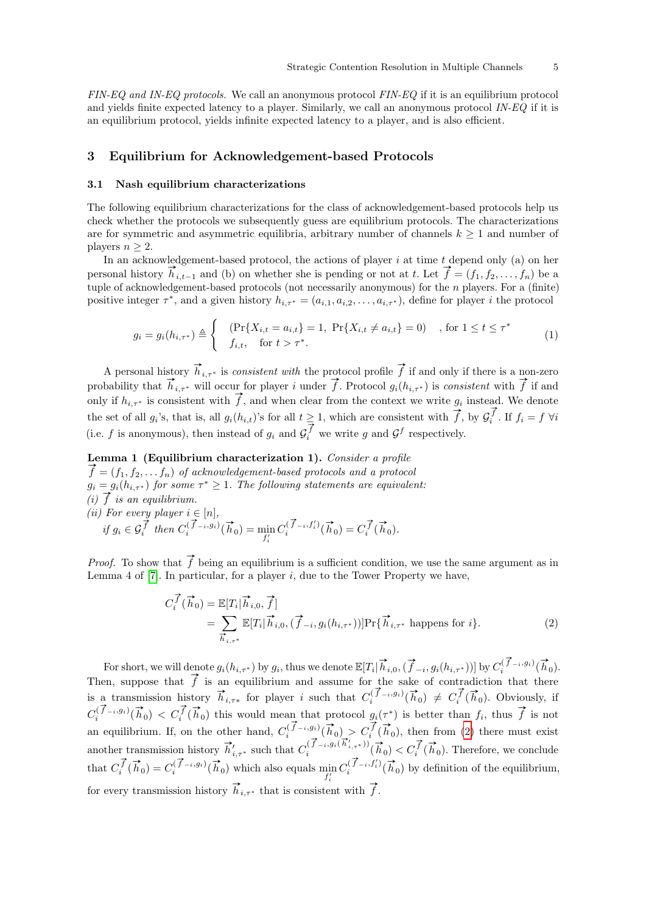FIN-EQ and IN-EQ protocols. We call an anonymous protocol FIN-EQ if it is an equilibrium protocol and yields finite expected latency to a player. Similarly, we call an anonymous protocol IN-EQ if it is an equilibrium protocol, yields infinite expected latency to a player, and is also efficient.

# <span id="page-4-0"></span>3 Equilibrium for Acknowledgement-based Protocols

### <span id="page-4-3"></span>3.1 Nash equilibrium characterizations

The following equilibrium characterizations for the class of acknowledgement-based protocols help us check whether the protocols we subsequently guess are equilibrium protocols. The characterizations are for symmetric and asymmetric equilibria, arbitrary number of channels  $k \geq 1$  and number of players  $n \geq 2$ .

In an acknowledgement-based protocol, the actions of player  $i$  at time  $t$  depend only (a) on her personal history  $\vec{h}_{i,t-1}$  and (b) on whether she is pending or not at t. Let  $\vec{f} = (f_1, f_2, \ldots, f_n)$  be a tuple of acknowledgement-based protocols (not necessarily anonymous) for the  $n$  players. For a (finite) positive integer  $\tau^*$ , and a given history  $h_{i,\tau^*} = (a_{i,1}, a_{i,2}, \ldots, a_{i,\tau^*})$ , define for player *i* the protocol

<span id="page-4-4"></span>
$$
g_i = g_i(h_{i,\tau^*}) \triangleq \begin{cases} & (\Pr\{X_{i,t} = a_{i,t}\} = 1, \Pr\{X_{i,t} \neq a_{i,t}\} = 0) \\ & f_{i,t}, \text{ for } t > \tau^*. \end{cases}
$$
 (1)

A personal history  $\vec{h}_{i,\tau^*}$  is *consistent with* the protocol profile  $\vec{f}$  if and only if there is a non-zero probability that  $\vec{h}_{i,\tau^*}$  will occur for player i under  $\vec{f}$ . Protocol  $g_i(h_{i,\tau^*})$  is consistent with  $\vec{f}$  if and probability that  $h_{i,\tau^*}$  will occur for player  $i$  under from the context we write  $g_i$  instead. We denote only if  $h_{i,\tau^*}$  is consistent with  $\vec{f}$ , and when clear from the context we write  $g_i$  instead. We denote the set of all  $g_i$ 's, that is, all  $g_i(h_{i,t})$ 's for all  $t \geq 1$ , which are consistent with  $\vec{f}$ , by  $\mathcal{G}_i^{\vec{f}}$ . If  $f_i = f \forall i$ (i.e. f is anonymous), then instead of  $g_i$  and  $\overline{G_i^f}$  we write g and  $\overline{G}^f$  respectively.

<span id="page-4-2"></span>Lemma 1 (Equilibrium characterization 1). Consider a profile  $\vec{f} = (f_1, f_2, \dots, f_n)$  of acknowledgement-based protocols and a protocol  $g_i = g_i(h_{i, \tau^*})$  for some  $\tau^* \geq 1$ . The following statements are equivalent: (i)  $\overrightarrow{f}$  is an equilibrium. (*ii*) For every player  $i \in [n]$ , if  $g_i \in \mathcal{G}_i^{\overrightarrow{f}}$  then  $C_i^{(\overrightarrow{f}-i,g_i)}(\overrightarrow{h}_0) = \min_{f'_i}$  $C_i^{(\overrightarrow{f}_i, f_i')}$  $i^{(\overrightarrow{f}_{-i},f_i')}(\overrightarrow{h}_0) = C_i^{\overrightarrow{f}}(\overrightarrow{h}_0).$ 

*Proof.* To show that  $\vec{f}$  being an equilibrium is a sufficient condition, we use the same argument as in Lemma 4 of  $[7]$ . In particular, for a player i, due to the Tower Property we have,

<span id="page-4-1"></span>
$$
C_i^{\vec{f}}(\vec{h}_0) = \mathbb{E}[T_i | \vec{h}_{i,0}, \vec{f}]
$$
  
= 
$$
\sum_{\vec{h}_{i,\tau^*}} \mathbb{E}[T_i | \vec{h}_{i,0}, (\vec{f}_{-i}, g_i(h_{i,\tau^*}))] \Pr{\{\vec{h}_{i,\tau^*} \text{ happens for } i\}}.
$$
 (2)

For short, we will denote  $g_i(h_{i,\tau^*})$  by  $g_i$ , thus we denote  $\mathbb{E}[T_i | \overrightarrow{h}_{i,0}, (\overrightarrow{f}_{-i}, g_i(h_{i,\tau^*}))]$  by  $C_i^{(\overrightarrow{f}_{-i}, g_i)}(\overrightarrow{h}_0)$ . Then, suppose that  $\vec{f}$  is an equilibrium and assume for the sake of contradiction that there is a transmission history  $\vec{h}_{i,\tau*}$  for player i such that  $C_i^{(\vec{f}-i,g_i)}(\vec{h}_0) \neq C_i^{(\vec{f}}(\vec{h}_0))$ . Obviously, if  $C_i^{(\vec{f}-i,g_i)}(\vec{h}_0) < C_i^{\vec{f}}(\vec{h}_0)$  this would mean that protocol  $g_i(\tau^*)$  is better than  $f_i$ , thus  $\vec{f}$  is not an equilibrium. If, on the other hand,  $C_i^{(\vec{f}-i, g_i)}(\vec{h}_0) > C_i^{(\vec{f}}(\vec{h}_0))$ , then from [\(2\)](#page-4-1) there must exist another transmission history  $\vec{h}'_{i,\tau^*}$  such that  $C_i^{(\vec{f}-i,g_i(\vec{h}'_{i,\tau^*}))}(\vec{h}_0) < C_i^{\vec{f}}(\vec{h}_0)$ . Therefore, we conclude that  $C_i^{\vec{f}}(\vec{h}_0) = C_i^{(\vec{f}-i, g_i)}(\vec{h}_0)$  which also equals  $\min_{f'_i}$  $C_i^{(\overrightarrow{f}_{-i},f_i')}$  $\int_{i}^{i} (\vec{f}_{-i}, f_i') (\vec{h}_0)$  by definition of the equilibrium, for every transmission history  $\vec{h}_{i,\tau^*}$  that is consistent with  $\vec{f}$ .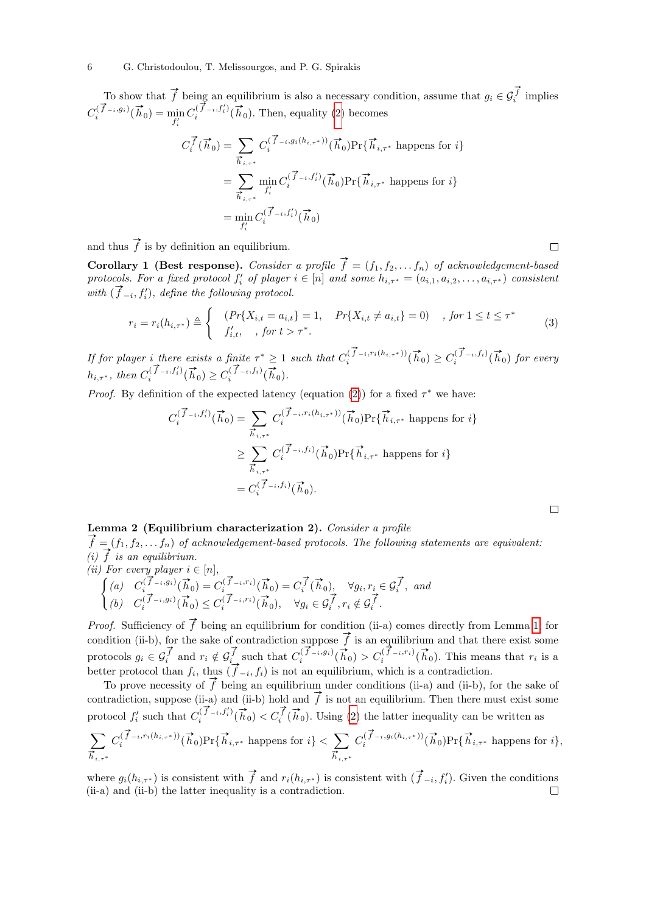To show that  $\vec{f}$  being an equilibrium is also a necessary condition, assume that  $g_i \in \mathcal{G}_i^{\vec{f}}$  implies  $C_i^{(\vec{f}_{-i},g_i)}(\vec{h}_0) = \min_{f'_i}$  $C_i^{(\overrightarrow{f}_{-i},f_i')}$  $\prod_{i}^{(\vec{f}-i,f_i')}(\vec{h}_0)$ . Then, equality [\(2\)](#page-4-1) becomes

$$
C_i^{\vec{f}}(\vec{h}_0) = \sum_{\vec{h}_{i,\tau^*}} C_i^{(\vec{f}_{-i}, g_i(h_{i,\tau^*}))}(\vec{h}_0) \Pr{\{\vec{h}_{i,\tau^*}\}\}
$$
 happens for  $i$ }  
\n
$$
= \sum_{\vec{h}_{i,\tau^*}} \min_{f'_i} C_i^{(\vec{f}_{-i}, f'_i)}(\vec{h}_0) \Pr{\{\vec{h}_{i,\tau^*}\}\}
$$
 happens for  $i$ }  
\n
$$
= \min_{f'_i} C_i^{(\vec{f}_{-i}, f'_i)}(\vec{h}_0)
$$

and thus  $\vec{f}$  is by definition an equilibrium.

<span id="page-5-1"></span>Corollary 1 (Best response). Consider a profile  $\vec{f} = (f_1, f_2, \ldots, f_n)$  of acknowledgement-based protocols. For a fixed protocol  $f'_i$  of player  $i \in [n]$  and some  $h_{i,\tau^*} = (a_{i,1}, a_{i,2}, \ldots, a_{i,\tau^*})$  consistent protocols. For a falled protocol  $f_i$  of palger<br>with  $(\vec{f}_{-i}, f'_i)$ , define the following protocol.

$$
r_i = r_i(h_{i,\tau^*}) \triangleq \begin{cases} (Pr\{X_{i,t} = a_{i,t}\} = 1, & Pr\{X_{i,t} \neq a_{i,t}\} = 0) & , \text{ for } 1 \leq t \leq \tau^*\\ f'_{i,t}, & , \text{ for } t > \tau^*. \end{cases} (3)
$$

 $\Box$ 

 $\Box$ 

If for player i there exists a finite  $\tau^* \geq 1$  such that  $C_i^{(\overrightarrow{f}_{-i}, r_i(h_{i,\tau^*}))}(\overrightarrow{h}_0) \geq C_i^{(\overrightarrow{f}_{-i},f_i)}(\overrightarrow{h}_0)$  for every  $h_{i,\tau^*}$ , then  $C_i^{(\overrightarrow{f}_i, f_i')}$  $\sum_{i}^{(\overrightarrow{f}-i,f_i')}(\overrightarrow{h}_0) \geq C_i^{(\overrightarrow{f}-i,f_i)}(\overrightarrow{h}_0).$ 

*Proof.* By definition of the expected latency (equation [\(2\)](#page-4-1)) for a fixed  $\tau^*$  we have:

$$
C_i^{(\vec{f}-i,f_i')}(\vec{h}_0) = \sum_{\substack{\vec{h}_{i,\tau^*} \\ \vec{h}_{i,\tau^*}}} C_i^{(\vec{f}-i,r_i(h_{i,\tau^*}))}(\vec{h}_0) \Pr{\{\vec{h}_{i,\tau^*} \text{ happens for } i\}}
$$
  

$$
\geq \sum_{\substack{\vec{h}_{i,\tau^*} \\ \vec{h}_{i,\tau^*}}} C_i^{(\vec{f}-i,f_i)}(\vec{h}_0) \Pr{\{\vec{h}_{i,\tau^*} \text{ happens for } i\}}
$$
  

$$
= C_i^{(\vec{f}-i,f_i)}(\vec{h}_0).
$$

# <span id="page-5-0"></span>Lemma 2 (Equilibrium characterization 2). Consider a profile

 $\vec{f} = (f_1, f_2, \ldots, f_n)$  of acknowledgement-based protocols. The following statements are equivalent: (i)  $\overrightarrow{f}$  is an equilibrium.

(ii) For every player 
$$
i \in [n]
$$
,  
\n
$$
\begin{cases}\n(a) & C_i^{(\vec{f}-i, g_i)}(\vec{h}_0) = C_i^{(\vec{f}-i, r_i)}(\vec{h}_0) = C_i^{\vec{f}}(\vec{h}_0), \quad \forall g_i, r_i \in \mathcal{G}_i^{\vec{f}}, \text{ and} \\
(b) & C_i^{(\vec{f}-i, g_i)}(\vec{h}_0) \le C_i^{(\vec{f}-i, r_i)}(\vec{h}_0), \quad \forall g_i \in \mathcal{G}_i^{\vec{f}}, r_i \notin \mathcal{G}_i^{\vec{f}}.\n\end{cases}
$$

*Proof.* Sufficiency of  $\vec{f}$  being an equilibrium for condition (ii-a) comes directly from Lemma [1;](#page-4-2) for *croof.* Suncency or f being an equinorium for condition (ii-a) comes directly from Lemma 1, for condition (ii-b), for the sake of contradiction suppose  $\vec{f}$  is an equilibrium and that there exist some protocols  $g_i \in \mathcal{G}_i^{\vec{f}}$  and  $r_i \notin \mathcal{G}_i^{\vec{f}}$  such that  $C_i^{(\vec{f}-i,g_i)}(\vec{h}_0) > C_i^{(\vec{f}-i,r_i)}(\vec{h}_0)$ . This means that  $r_i$  is a protocols  $g_i \in \mathcal{G}_i$  and  $i \notin \mathcal{G}_i$  such that  $C_i$  (not  $n \geq C_i$  (not). This mean<br>better protocol than  $f_i$ , thus  $(\vec{f}_{-i}, f_i)$  is not an equilibrium, which is a contradiction.

To prove necessity of  $\vec{f}$  being an equilibrium under conditions (ii-a) and (ii-b), for the sake of To prove necessity of f being an equilibrium under conditions (ii-a) and (ii-b), for the sake of contradiction, suppose (ii-a) and (ii-b) hold and  $\vec{f}$  is not an equilibrium. Then there must exist some protocol  $f'_i$  such that  $C_i^{(\vec{f}-i,f'_i)}$  $\begin{pmatrix} (\vec{f}-i,f_i')(\vec{h}_0) < C_i^{\vec{f}}(\vec{h}_0) \end{pmatrix}$ . Using [\(2\)](#page-4-1) the latter inequality can be written as

$$
\sum_{\overrightarrow{h}_{i,\tau^{*}}} C_{i}^{(\overrightarrow{f}_{-i}, r_{i}(h_{i,\tau^{*}}))}(\overrightarrow{h}_{0}) \Pr\{\overrightarrow{h}_{i,\tau^{*}} \text{ happens for } i\} < \sum_{\overrightarrow{h}_{i,\tau^{*}}} C_{i}^{(\overrightarrow{f}_{-i}, g_{i}(h_{i,\tau^{*}}))}(\overrightarrow{h}_{0}) \Pr\{\overrightarrow{h}_{i,\tau^{*}} \text{ happens for } i\},
$$

where  $g_i(h_{i,\tau^*})$  is consistent with  $\vec{f}$  and  $r_i(h_{i,\tau^*})$  is consistent with  $(\vec{f}_{-i}, f'_i)$ . Given the conditions (ii-a) and (ii-b) the latter inequality is a contradiction. $\Box$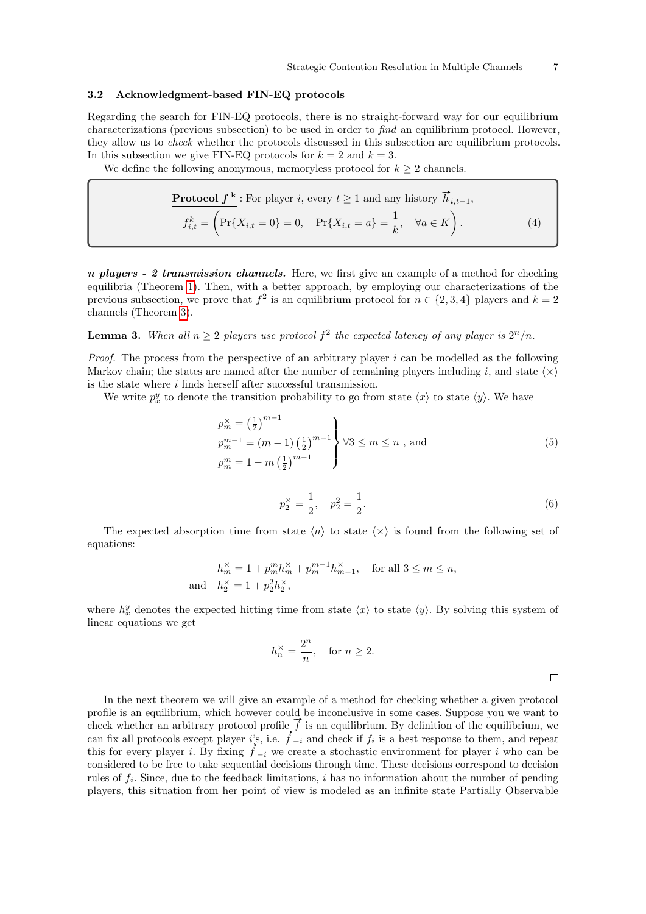#### 3.2 Acknowledgment-based FIN-EQ protocols

Regarding the search for FIN-EQ protocols, there is no straight-forward way for our equilibrium characterizations (previous subsection) to be used in order to find an equilibrium protocol. However, they allow us to check whether the protocols discussed in this subsection are equilibrium protocols. In this subsection we give FIN-EQ protocols for  $k = 2$  and  $k = 3$ .

We define the following anonymous, memoryless protocol for  $k \geq 2$  channels.

<span id="page-6-0"></span>**Protocol** 
$$
f^k
$$
: For player *i*, every  $t \ge 1$  and any history  $\vec{h}_{i,t-1}$ ,  
\n
$$
f_{i,t}^k = \left(\Pr\{X_{i,t} = 0\} = 0, \quad \Pr\{X_{i,t} = a\} = \frac{1}{k}, \quad \forall a \in K\right).
$$
\n(4)

 $n$  players - 2 transmission channels. Here, we first give an example of a method for checking equilibria (Theorem [1\)](#page-7-0). Then, with a better approach, by employing our characterizations of the previous subsection, we prove that  $f^2$  is an equilibrium protocol for  $n \in \{2, 3, 4\}$  players and  $k = 2$ channels (Theorem [3\)](#page-13-0).

# <span id="page-6-1"></span>**Lemma 3.** When all  $n \geq 2$  players use protocol  $f^2$  the expected latency of any player is  $2^n/n$ .

*Proof.* The process from the perspective of an arbitrary player  $i$  can be modelled as the following Markov chain; the states are named after the number of remaining players including i, and state  $\langle \times \rangle$ is the state where  $i$  finds herself after successful transmission.

We write  $p_x^y$  to denote the transition probability to go from state  $\langle x \rangle$  to state  $\langle y \rangle$ . We have

<span id="page-6-2"></span>
$$
p_m^{\times} = \left(\frac{1}{2}\right)^{m-1}
$$
  
\n
$$
p_m^{m-1} = (m-1) \left(\frac{1}{2}\right)^{m-1}
$$
  
\n
$$
p_m^m = 1 - m \left(\frac{1}{2}\right)^{m-1}
$$
  
\n
$$
(5)
$$

$$
p_2^{\times} = \frac{1}{2}, \quad p_2^2 = \frac{1}{2}.\tag{6}
$$

The expected absorption time from state  $\langle n \rangle$  to state  $\langle x \rangle$  is found from the following set of equations:

$$
h_m^\times = 1 + p_m^m h_m^\times + p_m^{m-1} h_{m-1}^\times, \quad \text{for all } 3 \le m \le n,
$$
  
and 
$$
h_2^\times = 1 + p_2^2 h_2^\times,
$$

where  $h_x^y$  denotes the expected hitting time from state  $\langle x \rangle$  to state  $\langle y \rangle$ . By solving this system of linear equations we get

$$
h_n^{\times} = \frac{2^n}{n}, \quad \text{for } n \ge 2.
$$

In the next theorem we will give an example of a method for checking whether a given protocol profile is an equilibrium, which however could be inconclusive in some cases. Suppose you we want to profile is an equilibrium, which however could be inconclusive in some cases. Suppose you we want to check whether an arbitrary protocol profile  $\vec{f}$  is an equilibrium. By definition of the equilibrium, we cneck whether an arbitrary protocol prome  $j$  is an equilibrium. By definition of the equilibrium, we can fix all protocols except player  $i$ 's, i.e.  $\vec{f}_{-i}$  and check if  $f_i$  is a best response to them, and repeat this for every player i. By fixing  $f_{-i}$  we create a stochastic environment for player i who can be considered to be free to take sequential decisions through time. These decisions correspond to decision rules of  $f_i$ . Since, due to the feedback limitations, i has no information about the number of pending players, this situation from her point of view is modeled as an infinite state Partially Observable

<span id="page-6-3"></span> $\Box$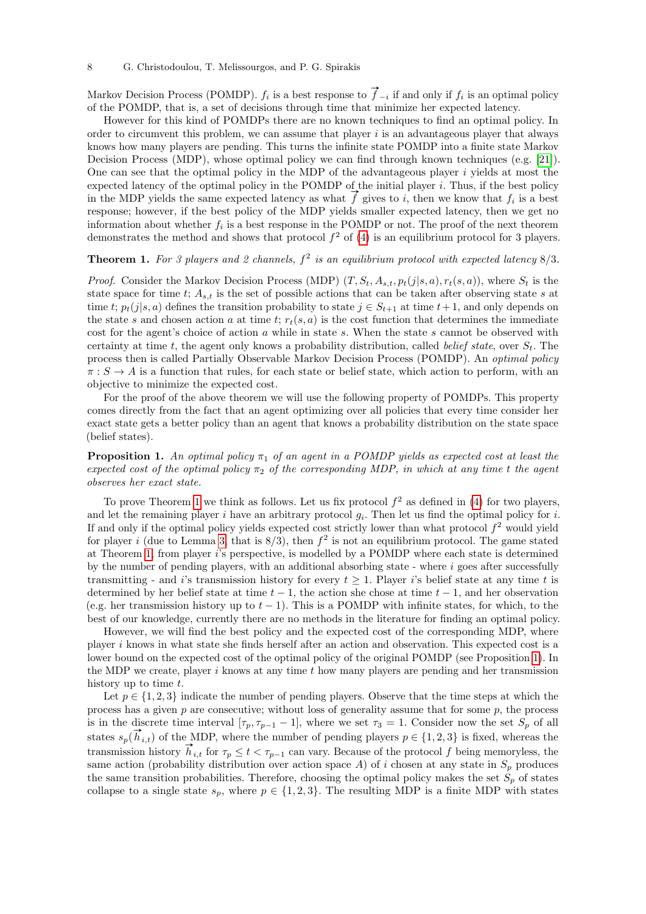Markov Decision Process (POMDP).  $f_i$  is a best response to  $\vec{f}_{-i}$  if and only if  $f_i$  is an optimal policy of the POMDP, that is, a set of decisions through time that minimize her expected latency.

However for this kind of POMDPs there are no known techniques to find an optimal policy. In order to circumvent this problem, we can assume that player  $i$  is an advantageous player that always knows how many players are pending. This turns the infinite state POMDP into a finite state Markov Decision Process (MDP), whose optimal policy we can find through known techniques (e.g. [\[21\]](#page-26-19)). One can see that the optimal policy in the MDP of the advantageous player  $i$  yields at most the expected latency of the optimal policy in the POMDP of the initial player  $i$ . Thus, if the best policy expected latency of the optimal policy in the POMDP of the initial player i. Thus, if the best policy in the MDP yields the same expected latency as what  $\overrightarrow{f}$  gives to i, then we know that  $f_i$  is a best response; however, if the best policy of the MDP yields smaller expected latency, then we get no information about whether  $f_i$  is a best response in the POMDP or not. The proof of the next theorem demonstrates the method and shows that protocol  $f^2$  of [\(4\)](#page-6-0) is an equilibrium protocol for 3 players.

# <span id="page-7-0"></span>**Theorem 1.** For 3 players and 2 channels,  $f^2$  is an equilibrium protocol with expected latency  $8/3$ .

*Proof.* Consider the Markov Decision Process (MDP)  $(T, S_t, A_{s,t}, p_t(j|s, a), r_t(s, a))$ , where  $S_t$  is the state space for time t;  $A_{s,t}$  is the set of possible actions that can be taken after observing state s at time t;  $p_t(j|s, a)$  defines the transition probability to state  $j \in S_{t+1}$  at time  $t+1$ , and only depends on the state s and chosen action a at time t;  $r_t(s, a)$  is the cost function that determines the immediate cost for the agent's choice of action  $a$  while in state  $s$ . When the state  $s$  cannot be observed with certainty at time t, the agent only knows a probability distribution, called *belief state*, over  $S_t$ . The process then is called Partially Observable Markov Decision Process (POMDP). An optimal policy  $\pi : S \to A$  is a function that rules, for each state or belief state, which action to perform, with an objective to minimize the expected cost.

For the proof of the above theorem we will use the following property of POMDPs. This property comes directly from the fact that an agent optimizing over all policies that every time consider her exact state gets a better policy than an agent that knows a probability distribution on the state space (belief states).

<span id="page-7-1"></span>**Proposition 1.** An optimal policy  $\pi_1$  of an agent in a POMDP yields as expected cost at least the expected cost of the optimal policy  $\pi_2$  of the corresponding MDP, in which at any time t the agent observes her exact state.

To prove Theorem [1](#page-7-0) we think as follows. Let us fix protocol  $f^2$  as defined in [\(4\)](#page-6-0) for two players, and let the remaining player i have an arbitrary protocol  $g_i$ . Then let us find the optimal policy for i. If and only if the optimal policy yields expected cost strictly lower than what protocol  $f^2$  would yield for player i (due to Lemma [3,](#page-6-1) that is  $8/3$ ), then  $f^2$  is not an equilibrium protocol. The game stated at Theorem [1,](#page-7-0) from player i's perspective, is modelled by a POMDP where each state is determined by the number of pending players, with an additional absorbing state - where  $i$  goes after successfully transmitting - and i's transmission history for every  $t \geq 1$ . Player i's belief state at any time t is determined by her belief state at time  $t - 1$ , the action she chose at time  $t - 1$ , and her observation (e.g. her transmission history up to  $t - 1$ ). This is a POMDP with infinite states, for which, to the best of our knowledge, currently there are no methods in the literature for finding an optimal policy.

However, we will find the best policy and the expected cost of the corresponding MDP, where player i knows in what state she finds herself after an action and observation. This expected cost is a lower bound on the expected cost of the optimal policy of the original POMDP (see Proposition [1\)](#page-7-1). In the MDP we create, player  $i$  knows at any time  $t$  how many players are pending and her transmission history up to time t.

Let  $p \in \{1, 2, 3\}$  indicate the number of pending players. Observe that the time steps at which the process has a given  $p$  are consecutive; without loss of generality assume that for some  $p$ , the process is in the discrete time interval  $[\tau_p, \tau_{p-1} - 1]$ , where we set  $\tau_3 = 1$ . Consider now the set  $S_p$  of all s in the discrete time interval  $\{v_p, v_{p-1} - 1\}$ , where we set  $v_3 = 1$ . Consider now the set  $S_p$  or an states  $s_p(\vec{h}_{i,t})$  of the MDP, where the number of pending players  $p \in \{1, 2, 3\}$  is fixed, whereas the transmission history  $\vec{h}_{i,t}$  for  $\tau_p \leq t < \tau_{p-1}$  can vary. Because of the protocol f being memoryless, the same action (probability distribution over action space A) of i chosen at any state in  $S_p$  produces the same transition probabilities. Therefore, choosing the optimal policy makes the set  $S_p$  of states collapse to a single state  $s_p$ , where  $p \in \{1, 2, 3\}$ . The resulting MDP is a finite MDP with states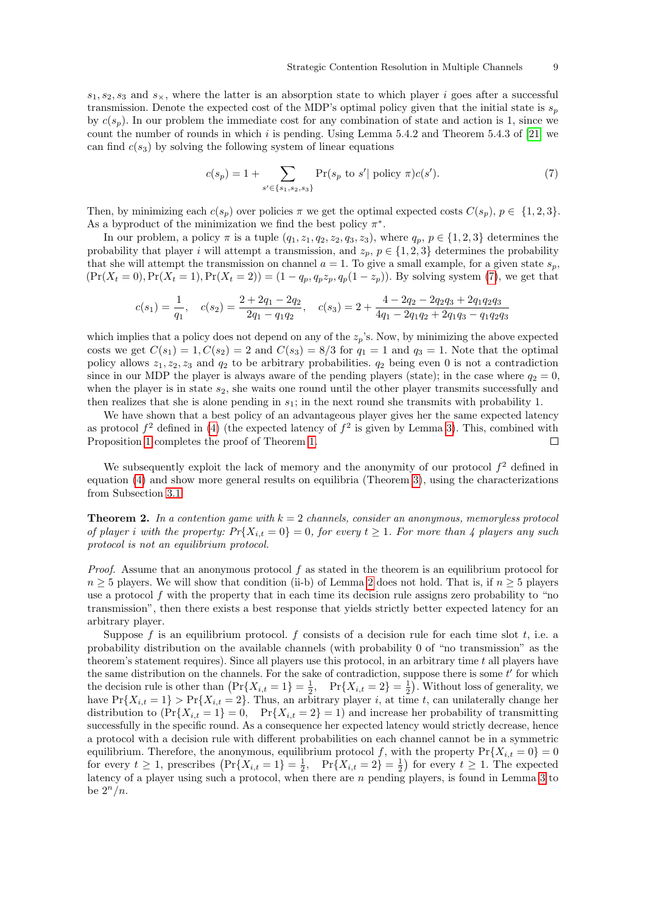$s_1, s_2, s_3$  and  $s_\times$ , where the latter is an absorption state to which player i goes after a successful transmission. Denote the expected cost of the MDP's optimal policy given that the initial state is  $s_p$ by  $c(s_p)$ . In our problem the immediate cost for any combination of state and action is 1, since we count the number of rounds in which i is pending. Using Lemma 5.4.2 and Theorem 5.4.3 of [\[21\]](#page-26-19) we can find  $c(s_3)$  by solving the following system of linear equations

<span id="page-8-0"></span>
$$
c(s_p) = 1 + \sum_{s' \in \{s_1, s_2, s_3\}} \Pr(s_p \text{ to } s' \mid \text{policy } \pi) c(s'). \tag{7}
$$

Then, by minimizing each  $c(s_p)$  over policies  $\pi$  we get the optimal expected costs  $C(s_p)$ ,  $p \in \{1, 2, 3\}$ . As a byproduct of the minimization we find the best policy  $\pi^*$ .

In our problem, a policy  $\pi$  is a tuple  $(q_1, z_1, q_2, z_2, q_3, z_3)$ , where  $q_p$ ,  $p \in \{1, 2, 3\}$  determines the probability that player i will attempt a transmission, and  $z_p$ ,  $p \in \{1, 2, 3\}$  determines the probability that she will attempt the transmission on channel  $a = 1$ . To give a small example, for a given state  $s_p$ ,  $(\Pr(X_t = 0), \Pr(X_t = 1), \Pr(X_t = 2)) = (1 - q_p, q_p z_p, q_p(1 - z_p))$ . By solving system [\(7\)](#page-8-0), we get that

$$
c(s_1) = \frac{1}{q_1}, \quad c(s_2) = \frac{2 + 2q_1 - 2q_2}{2q_1 - q_1q_2}, \quad c(s_3) = 2 + \frac{4 - 2q_2 - 2q_2q_3 + 2q_1q_2q_3}{4q_1 - 2q_1q_2 + 2q_1q_3 - q_1q_2q_3}
$$

which implies that a policy does not depend on any of the  $z_p$ 's. Now, by minimizing the above expected costs we get  $C(s_1) = 1, C(s_2) = 2$  and  $C(s_3) = 8/3$  for  $q_1 = 1$  and  $q_3 = 1$ . Note that the optimal policy allows  $z_1, z_2, z_3$  and  $q_2$  to be arbitrary probabilities.  $q_2$  being even 0 is not a contradiction since in our MDP the player is always aware of the pending players (state); in the case where  $q_2 = 0$ , when the player is in state  $s_2$ , she waits one round until the other player transmits successfully and then realizes that she is alone pending in  $s_1$ ; in the next round she transmits with probability 1.

We have shown that a best policy of an advantageous player gives her the same expected latency as protocol  $f^2$  defined in [\(4\)](#page-6-0) (the expected latency of  $f^2$  is given by Lemma [3\)](#page-6-1). This, combined with Proposition [1](#page-7-1) completes the proof of Theorem [1.](#page-7-0)  $\Box$ 

We subsequently exploit the lack of memory and the anonymity of our protocol  $f^2$  defined in equation [\(4\)](#page-6-0) and show more general results on equilibria (Theorem [3\)](#page-13-0), using the characterizations from Subsection [3.1.](#page-4-3)

<span id="page-8-1"></span>**Theorem 2.** In a contention game with  $k = 2$  channels, consider an anonymous, memoryless protocol of player i with the property:  $Pr{X_{i,t} = 0} = 0$ , for every  $t \ge 1$ . For more than 4 players any such protocol is not an equilibrium protocol.

Proof. Assume that an anonymous protocol f as stated in the theorem is an equilibrium protocol for  $n \geq 5$  players. We will show that condition (ii-b) of Lemma [2](#page-5-0) does not hold. That is, if  $n \geq 5$  players use a protocol f with the property that in each time its decision rule assigns zero probability to "no transmission", then there exists a best response that yields strictly better expected latency for an arbitrary player.

Suppose f is an equilibrium protocol. f consists of a decision rule for each time slot  $t$ , i.e. a probability distribution on the available channels (with probability 0 of "no transmission" as the theorem's statement requires). Since all players use this protocol, in an arbitrary time  $t$  all players have the same distribution on the channels. For the sake of contradiction, suppose there is some  $t'$  for which the decision rule is other than  $\left(\Pr\{X_{i,t} = 1\} = \frac{1}{2}, \quad \Pr\{X_{i,t} = 2\} = \frac{1}{2}\right)$ . Without loss of generality, we have  $Pr{X_{i,t} = 1} > Pr{X_{i,t} = 2}$ . Thus, an arbitrary player i, at time t, can unilaterally change her distribution to  $(\Pr{X_{i,t} = 1} = 0, \Pr{X_{i,t} = 2} = 1)$  and increase her probability of transmitting successfully in the specific round. As a consequence her expected latency would strictly decrease, hence a protocol with a decision rule with different probabilities on each channel cannot be in a symmetric equilibrium. Therefore, the anonymous, equilibrium protocol f, with the property  $Pr{X_{i,t} = 0} = 0$ for every  $t \geq 1$ , prescribes  $\left(\Pr\{X_{i,t} = 1\} = \frac{1}{2}, \Pr\{X_{i,t} = 2\} = \frac{1}{2}\right)$  for every  $t \geq 1$ . The expected latency of a player using such a protocol, when there are  $n$  pending players, is found in Lemma [3](#page-6-1) to be  $2^n/n$ .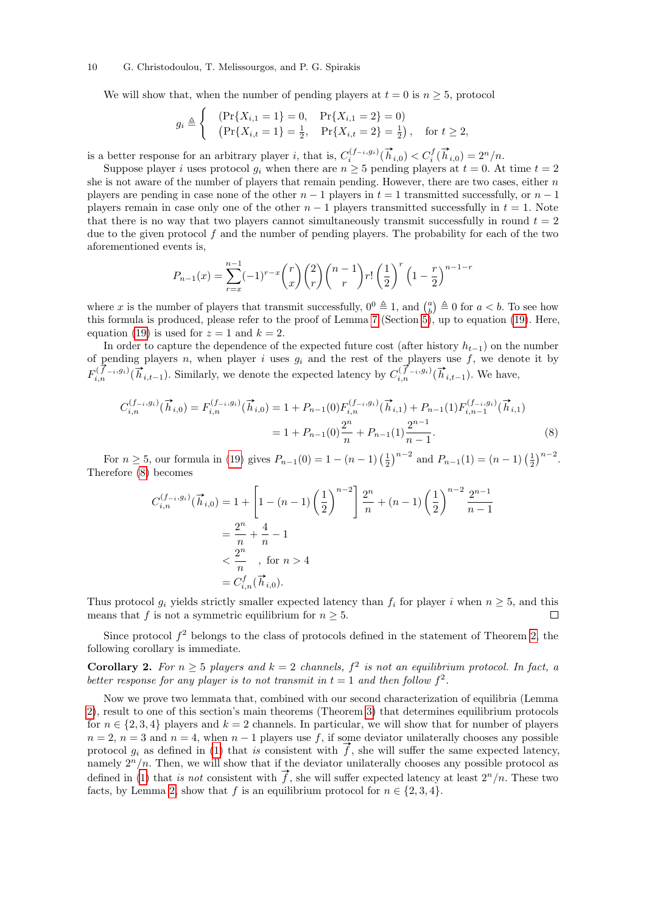#### 10 G. Christodoulou, T. Melissourgos, and P. G. Spirakis

We will show that, when the number of pending players at  $t = 0$  is  $n \geq 5$ , protocol

$$
g_i \triangleq \begin{cases} & (\Pr\{X_{i,1} = 1\} = 0, \quad \Pr\{X_{i,1} = 2\} = 0) \\ & (\Pr\{X_{i,t} = 1\} = \frac{1}{2}, \quad \Pr\{X_{i,t} = 2\} = \frac{1}{2}), \quad \text{for } t \ge 2, \end{cases}
$$

is a better response for an arbitrary player *i*, that is,  $C_i^{(f-i,g_i)}(\vec{h}_{i,0}) < C_i^f(\vec{h}_{i,0}) = 2^n/n$ .

Suppose player i uses protocol  $g_i$  when there are  $n \geq 5$  pending players at  $t = 0$ . At time  $t = 2$ she is not aware of the number of players that remain pending. However, there are two cases, either  $n$ players are pending in case none of the other  $n-1$  players in  $t = 1$  transmitted successfully, or  $n-1$ players remain in case only one of the other  $n-1$  players transmitted successfully in  $t = 1$ . Note that there is no way that two players cannot simultaneously transmit successfully in round  $t = 2$ due to the given protocol  $f$  and the number of pending players. The probability for each of the two aforementioned events is,

$$
P_{n-1}(x) = \sum_{r=x}^{n-1} (-1)^{r-x} \binom{r}{x} \binom{2}{r} \binom{n-1}{r} r! \left(\frac{1}{2}\right)^r \left(1 - \frac{r}{2}\right)^{n-1-r}
$$

where x is the number of players that transmit successfully,  $0^0 \triangleq 1$ , and  $\binom{a}{b} \triangleq 0$  for  $a < b$ . To see how this formula is produced, please refer to the proof of Lemma [7](#page-19-0) (Section [5\)](#page-17-1), up to equation [\(19\)](#page-20-0). Here, equation [\(19\)](#page-20-0) is used for  $z = 1$  and  $k = 2$ .

In order to capture the dependence of the expected future cost (after history  $h_{t-1}$ ) on the number of pending players n, when player i uses  $g_i$  and the rest of the players use f, we denote it by or pending players *n*, when player *i* uses  $g_i$  and the rest of the players use *f*, we denote  $F_{i,n}^{(\vec{f}-i,g_i)}(\vec{h}_{i,t-1})$ . We have,

$$
C_{i,n}^{(f_{-i},g_i)}(\vec{h}_{i,0}) = F_{i,n}^{(f_{-i},g_i)}(\vec{h}_{i,0}) = 1 + P_{n-1}(0)F_{i,n}^{(f_{-i},g_i)}(\vec{h}_{i,1}) + P_{n-1}(1)F_{i,n-1}^{(f_{-i},g_i)}(\vec{h}_{i,1})
$$

$$
= 1 + P_{n-1}(0)\frac{2^n}{n} + P_{n-1}(1)\frac{2^{n-1}}{n-1}.
$$
(8)

For  $n \ge 5$ , our formula in [\(19\)](#page-20-0) gives  $P_{n-1}(0) = 1 - (n-1) \left(\frac{1}{2}\right)^{n-2}$  and  $P_{n-1}(1) = (n-1) \left(\frac{1}{2}\right)^{n-2}$ . Therefore [\(8\)](#page-9-0) becomes

<span id="page-9-0"></span>
$$
C_{i,n}^{(f_{-i},g_i)}(\vec{h}_{i,0}) = 1 + \left[1 - (n-1)\left(\frac{1}{2}\right)^{n-2}\right] \frac{2^n}{n} + (n-1)\left(\frac{1}{2}\right)^{n-2} \frac{2^{n-1}}{n-1}
$$
  
=  $\frac{2^n}{n} + \frac{4}{n} - 1$   
 $\leq \frac{2^n}{n}$ , for  $n > 4$   
=  $C_{i,n}^f(\vec{h}_{i,0})$ .

Thus protocol  $g_i$  yields strictly smaller expected latency than  $f_i$  for player i when  $n \geq 5$ , and this means that f is not a symmetric equilibrium for  $n \geq 5$ .  $\Box$ 

Since protocol  $f^2$  belongs to the class of protocols defined in the statement of Theorem [2,](#page-8-1) the following corollary is immediate.

**Corollary 2.** For  $n \geq 5$  players and  $k = 2$  channels,  $f^2$  is not an equilibrium protocol. In fact, a better response for any player is to not transmit in  $t = 1$  and then follow  $f^2$ .

<span id="page-9-1"></span>Now we prove two lemmata that, combined with our second characterization of equilibria (Lemma [2\)](#page-5-0), result to one of this section's main theorems (Theorem [3\)](#page-13-0) that determines equilibrium protocols for  $n \in \{2, 3, 4\}$  players and  $k = 2$  channels. In particular, we will show that for number of players  $n = 2$ ,  $n = 3$  and  $n = 4$ , when  $n - 1$  players use f, if some deviator unilaterally chooses any possible protocol  $g_i$  as defined in [\(1\)](#page-4-4) that is consistent with  $\vec{f}$ , she will suffer the same expected latency, namely  $2^n/n$ . Then, we will show that if the deviator unilaterally chooses any possible protocol as defined in [\(1\)](#page-4-4) that is not consistent with  $\vec{f}$ , she will suffer expected latency at least  $2^n/n$ . These two facts, by Lemma [2,](#page-5-0) show that f is an equilibrium protocol for  $n \in \{2, 3, 4\}$ .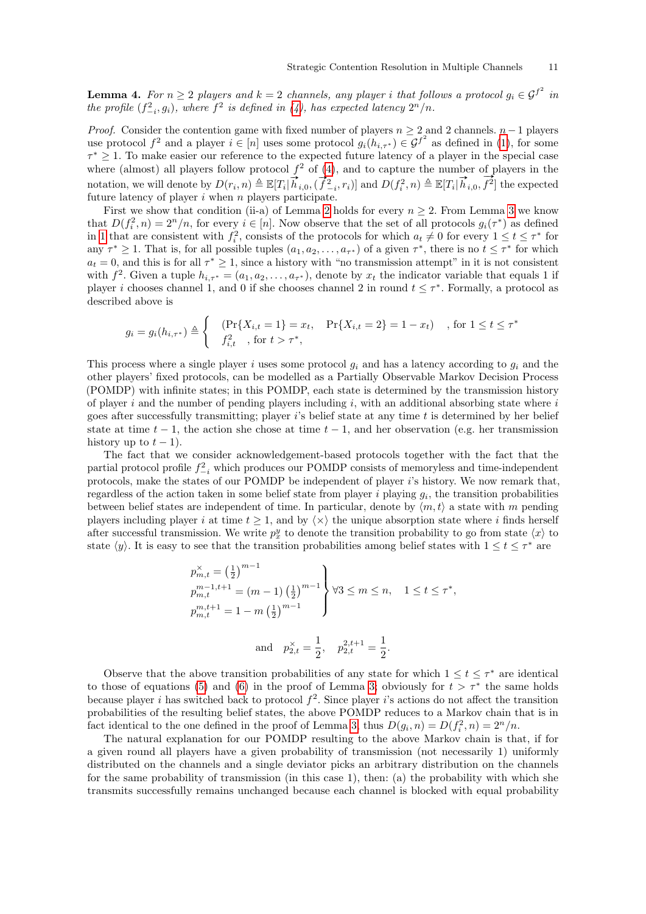**Lemma 4.** For  $n \geq 2$  players and  $k = 2$  channels, any player i that follows a protocol  $g_i \in \mathcal{G}^{f^2}$  in the profile  $(f_{-i}^2, g_i)$ , where  $f^2$  is defined in [\(4\)](#page-6-0), has expected latency  $2^n/n$ .

*Proof.* Consider the contention game with fixed number of players  $n \geq 2$  and 2 channels.  $n-1$  players use protocol  $f^2$  and a player  $i \in [n]$  uses some protocol  $g_i(h_{i,\tau^*}) \in \mathcal{G}^{f^2}$  as defined in [\(1\)](#page-4-4), for some  $\tau^* \geq 1$ . To make easier our reference to the expected future latency of a player in the special case where (almost) all players follow protocol  $f^2$  of [\(4\)](#page-6-0), and to capture the number of players in the where (almost) an players follow protocol  $f$  of (4), and to capture the number of  $\text{ind}(f_i^2, h_i)$  where  $\text{ind}(f_i^2, h_i)$  and  $D(f_i^2, h_i) \triangleq \mathbb{E}[T_i | \vec{h}_{i,0}, \vec{f}^2]$  $f^2$  the expected future latency of player  $i$  when  $n$  players participate.

First we show that condition (ii-a) of Lemma [2](#page-5-0) holds for every  $n \geq 2$ . From Lemma [3](#page-6-1) we know that  $D(f_i^2, n) = 2^n/n$ , for every  $i \in [n]$ . Now observe that the set of all protocols  $g_i(\tau^*)$  as defined in [1](#page-4-4) that are consistent with  $f_i^2$ , consists of the protocols for which  $a_t \neq 0$  for every  $1 \leq t \leq \tau^*$  for any  $\tau^* \geq 1$ . That is, for all possible tuples  $(a_1, a_2, \ldots, a_{\tau^*})$  of a given  $\tau^*$ , there is no  $t \leq \tau^*$  for which  $a_t = 0$ , and this is for all  $\tau^* \geq 1$ , since a history with "no transmission attempt" in it is not consistent with  $f^2$ . Given a tuple  $h_{i,\tau^*} = (a_1, a_2, \ldots, a_{\tau^*})$ , denote by  $x_t$  the indicator variable that equals 1 if player *i* chooses channel 1, and 0 if she chooses channel 2 in round  $t \leq \tau^*$ . Formally, a protocol as described above is

$$
g_i = g_i(h_{i,\tau^*}) \triangleq \begin{cases} & (\Pr\{X_{i,t} = 1\} = x_t, \quad \Pr\{X_{i,t} = 2\} = 1 - x_t) \\ & f_{i,t}^2 \quad \text{, for } t > \tau^*, \end{cases}
$$

This process where a single player i uses some protocol  $g_i$  and has a latency according to  $g_i$  and the other players' fixed protocols, can be modelled as a Partially Observable Markov Decision Process (POMDP) with infinite states; in this POMDP, each state is determined by the transmission history of player i and the number of pending players including  $i$ , with an additional absorbing state where i goes after successfully transmitting; player i's belief state at any time  $t$  is determined by her belief state at time  $t - 1$ , the action she chose at time  $t - 1$ , and her observation (e.g. her transmission history up to  $t - 1$ ).

The fact that we consider acknowledgement-based protocols together with the fact that the partial protocol profile  $f_{-i}^2$  which produces our POMDP consists of memoryless and time-independent protocols, make the states of our POMDP be independent of player  $i$ 's history. We now remark that, regardless of the action taken in some belief state from player i playing  $g_i$ , the transition probabilities between belief states are independent of time. In particular, denote by  $\langle m, t \rangle$  a state with m pending players including player i at time  $t \geq 1$ , and by  $\langle \times \rangle$  the unique absorption state where i finds herself after successful transmission. We write  $p_x^y$  to denote the transition probability to go from state  $\langle x \rangle$  to state  $\langle y \rangle$ . It is easy to see that the transition probabilities among belief states with  $1 \le t \le \tau^*$  are

$$
p_{m,t}^{\times} = \left(\frac{1}{2}\right)^{m-1}
$$
  
\n
$$
p_{m,t}^{m-1,t+1} = (m-1) \left(\frac{1}{2}\right)^{m-1}
$$
  
\n
$$
p_{m,t}^{m,t+1} = 1 - m \left(\frac{1}{2}\right)^{m-1}
$$
  
\nand 
$$
p_{2,t}^{\times} = \frac{1}{2}, \quad p_{2,t}^{2,t+1} = \frac{1}{2}.
$$

Observe that the above transition probabilities of any state for which  $1 \le t \le \tau^*$  are identical to those of equations [\(5\)](#page-6-2) and [\(6\)](#page-6-3) in the proof of Lemma [3;](#page-6-1) obviously for  $t > \tau^*$  the same holds because player i has switched back to protocol  $f^2$ . Since player i's actions do not affect the transition probabilities of the resulting belief states, the above POMDP reduces to a Markov chain that is in fact identical to the one defined in the proof of Lemma [3,](#page-6-1) thus  $D(g_i, n) = D(f_i^2, n) = 2<sup>n</sup>/n$ .

The natural explanation for our POMDP resulting to the above Markov chain is that, if for a given round all players have a given probability of transmission (not necessarily 1) uniformly distributed on the channels and a single deviator picks an arbitrary distribution on the channels for the same probability of transmission (in this case 1), then: (a) the probability with which she transmits successfully remains unchanged because each channel is blocked with equal probability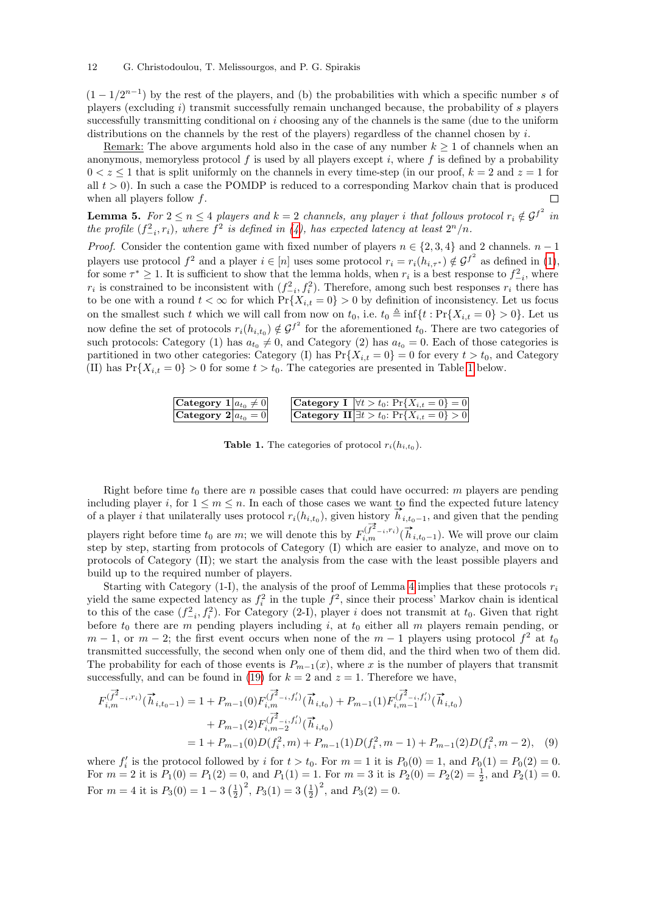#### 12 G. Christodoulou, T. Melissourgos, and P. G. Spirakis

 $(1 - 1/2^{n-1})$  by the rest of the players, and (b) the probabilities with which a specific number s of players (excluding i) transmit successfully remain unchanged because, the probability of s players successfully transmitting conditional on  $i$  choosing any of the channels is the same (due to the uniform distributions on the channels by the rest of the players) regardless of the channel chosen by i.

Remark: The above arguments hold also in the case of any number  $k \geq 1$  of channels when an anonymous, memoryless protocol  $f$  is used by all players except  $i$ , where  $f$  is defined by a probability  $0 < z \leq 1$  that is split uniformly on the channels in every time-step (in our proof,  $k = 2$  and  $z = 1$  for all  $t > 0$ ). In such a case the POMDP is reduced to a corresponding Markov chain that is produced when all players follow  $f$ .  $\Box$ 

<span id="page-11-2"></span>**Lemma 5.** For  $2 \le n \le 4$  players and  $k = 2$  channels, any player i that follows protocol  $r_i \notin \mathcal{G}^{f^2}$  in the profile  $(f_{-i}^2, r_i)$ , where  $f^2$  is defined in [\(4\)](#page-6-0), has expected latency at least  $2^n/n$ .

*Proof.* Consider the contention game with fixed number of players  $n \in \{2, 3, 4\}$  and 2 channels.  $n - 1$ players use protocol  $f^2$  and a player  $i \in [n]$  uses some protocol  $r_i = r_i(h_{i,\tau^*}) \notin \mathcal{G}^{f^2}$  as defined in [\(1\)](#page-4-4), for some  $\tau^* \geq 1$ . It is sufficient to show that the lemma holds, when  $r_i$  is a best response to  $f_{-i}^2$ , where  $r_i$  is constrained to be inconsistent with  $(f_{-i}^2, f_i^2)$ . Therefore, among such best responses  $r_i$  there has to be one with a round  $t < \infty$  for which  $Pr{X_{i,t} = 0} > 0$  by definition of inconsistency. Let us focus on the smallest such t which we will call from now on  $t_0$ , i.e.  $t_0 \triangleq \inf\{t : \Pr\{X_{i,t} = 0\} > 0\}$ . Let us now define the set of protocols  $r_i(h_{i,t_0}) \notin \mathcal{G}^{f^2}$  for the aforementioned  $t_0$ . There are two categories of such protocols: Category (1) has  $a_{t_0} \neq 0$ , and Category (2) has  $a_{t_0} = 0$ . Each of those categories is partitioned in two other categories: Category (I) has  $Pr{X_{i,t} = 0} = 0$  for every  $t > t_0$ , and Category (II) has  $Pr{X_{i,t} = 0} > 0$  for some  $t > t_0$ . The categories are presented in Table [1](#page-11-0) below.

| Category $1 a_{t_0}\neq 0 $ | <b>Category I</b> $\forall t > t_0$ : $\Pr\{X_{i,t} = 0\} = 0$  |  |
|-----------------------------|-----------------------------------------------------------------|--|
| Category $2 a_{t_0}=0 $     | <b>Category II</b> $\exists t > t_0$ : $\Pr\{X_{i,t} = 0\} > 0$ |  |

<span id="page-11-1"></span>**Table 1.** The categories of protocol  $r_i(h_{i,t_0})$ .

<span id="page-11-0"></span>Right before time  $t_0$  there are n possible cases that could have occurred: m players are pending including player i, for  $1 \leq m \leq n$ . In each of those cases we want to find the expected future latency including player i, for  $1 \leq m \leq n$ . In each of those cases we want to find the expected future latency of a player i that unilaterally uses protocol  $r_i(h_{i,t_0})$ , given history  $\overrightarrow{h}_{i,t_0-1}$ , and given that the pending players right before time  $t_0$  are m; we will denote this by  $F_{i,m}^{(\vec{f}^2-i,r_i)}(\vec{h}_{i,t_0-1})$ . We will prove our claim step by step, starting from protocols of Category (I) which are easier to analyze, and move on to protocols of Category (II); we start the analysis from the case with the least possible players and build up to the required number of players.

Starting with Category (1-I), the analysis of the proof of Lemma [4](#page-9-1) implies that these protocols  $r_i$ yield the same expected latency as  $f_i^2$  in the tuple  $f^2$ , since their process' Markov chain is identical to this of the case  $(f_{-i}^2, f_i^2)$ . For Category (2-I), player i does not transmit at  $t_0$ . Given that right before  $t_0$  there are m pending players including i, at  $t_0$  either all m players remain pending, or  $m-1$ , or  $m-2$ ; the first event occurs when none of the  $m-1$  players using protocol  $f^2$  at  $t_0$ transmitted successfully, the second when only one of them did, and the third when two of them did. The probability for each of those events is  $P_{m-1}(x)$ , where x is the number of players that transmit successfully, and can be found in [\(19\)](#page-20-0) for  $k = 2$  and  $z = 1$ . Therefore we have,

$$
F_{i,m}^{(\overrightarrow{f}^2_{-i},r_i)}(\overrightarrow{h}_{i,t_0-1}) = 1 + P_{m-1}(0)F_{i,m}^{(\overrightarrow{f}^2_{-i},f'_i)}(\overrightarrow{h}_{i,t_0}) + P_{m-1}(1)F_{i,m-1}^{(\overrightarrow{f}^2_{-i},f'_i)}(\overrightarrow{h}_{i,t_0})
$$
  
+ 
$$
P_{m-1}(2)F_{i,m-2}^{(\overrightarrow{f}^2_{-i},f'_i)}(\overrightarrow{h}_{i,t_0})
$$
  
= 
$$
1 + P_{m-1}(0)D(f_i^2,m) + P_{m-1}(1)D(f_i^2,m-1) + P_{m-1}(2)D(f_i^2,m-2),
$$
 (9)

where  $f_i'$  is the protocol followed by i for  $t > t_0$ . For  $m = 1$  it is  $P_0(0) = 1$ , and  $P_0(1) = P_0(2) = 0$ . For  $m = 2$  it is  $P_1(0) = P_1(2) = 0$ , and  $P_1(1) = 1$ . For  $m = 3$  it is  $P_2(0) = P_2(2) = \frac{1}{2}$ , and  $P_2(1) = 0$ . For  $m = 4$  it is  $P_3(0) = 1 - 3\left(\frac{1}{2}\right)^2$ ,  $P_3(1) = 3\left(\frac{1}{2}\right)^2$ , and  $P_3(2) = 0$ .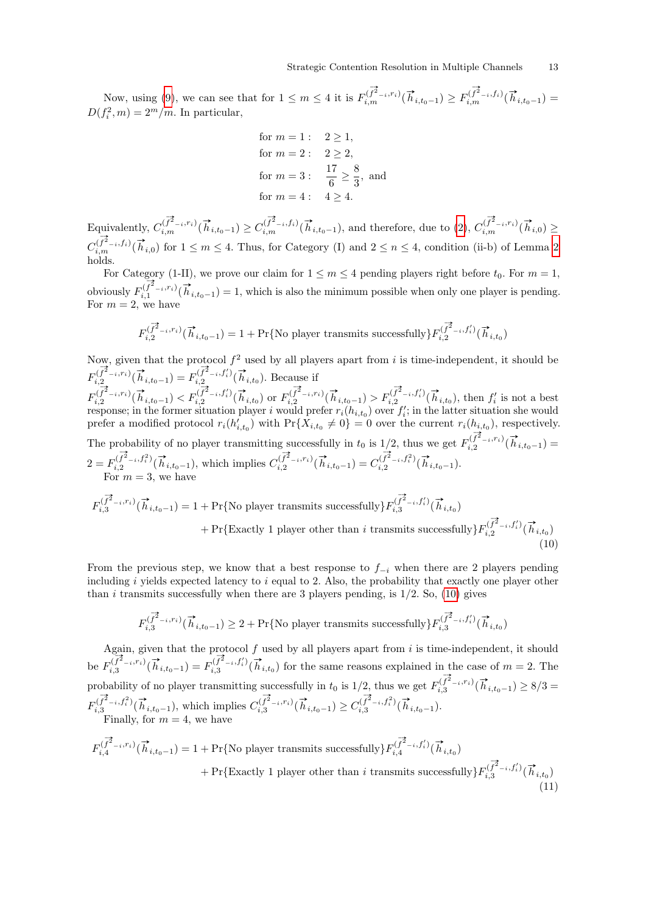Now, using [\(9\)](#page-11-1), we can see that for  $1 \le m \le 4$  it is  $F_{i,m}^{(\vec{f}^2-i,r_i)}(\vec{h}_{i,t_0-1}) \ge F_{i,m}^{(\vec{f}^2-i,f_i)}(\vec{h}_{i,t_0-1}) =$  $D(f_i^2, m) = 2<sup>m</sup>/m$ . In particular,

for 
$$
m = 1
$$
:  $2 \ge 1$ ,  
for  $m = 2$ :  $2 \ge 2$ ,  
for  $m = 3$ :  $\frac{17}{6} \ge \frac{8}{3}$ , and  
for  $m = 4$ :  $4 \ge 4$ .

Equivalently,  $C_{i,m}^{(\overrightarrow{f}^2-i,r_i)}(\overrightarrow{h}_{i,t_0-1}) \geq C_{i,m}^{(\overrightarrow{f}^2-i,f_i)}(\overrightarrow{h}_{i,t_0-1})$ , and therefore, due to [\(2\)](#page-4-1),  $C_{i,m}^{(\overrightarrow{f}^2-i,r_i)}(\overrightarrow{h}_{i,0}) \geq$  $C_{i,m}^{(\overrightarrow{f}^2-i,f_i)}(\overrightarrow{h}_{i,0})$  for  $1 \leq m \leq 4$ . Thus, for Category (I) and  $2 \leq n \leq 4$ , condition (ii-b) of Lemma [2](#page-5-0) holds.

For Category (1-II), we prove our claim for  $1 \le m \le 4$  pending players right before  $t_0$ . For  $m = 1$ , obviously  $F_{i,1}^{(\overrightarrow{f}^2-i,r_i)}(\overrightarrow{h}_{i,t_0-1})=1$ , which is also the minimum possible when only one player is pending. For  $m = 2$ , we have

$$
F_{i,2}^{(\overrightarrow{f}^2-i,r_i)}(\overrightarrow{h}_{i,t_0-1})=1+\Pr\{\textrm{No player transmits successfully}\}F_{i,2}^{(\overrightarrow{f}^2-i,f_i')}(\overrightarrow{h}_{i,t_0})
$$

Now, given that the protocol  $f^2$  used by all players apart from i is time-independent, it should be  $F_{i,2}^{(\vec{f}^2-i,r_i)}(\vec{h}_{i,t_0-1}) = F_{i,2}^{(\vec{f}^2-i,f_i')}$  $\overrightarrow{f_{i,2}}^{(\overrightarrow{f_{i}})}(\overrightarrow{h}_{i,t_0})$ . Because if  $F_{i,2}^{(\overrightarrow{f}^2-i,r_i)}(\overrightarrow{h}_{i,t_0-1}) < F_{i,2}^{(\overrightarrow{f}^2-i,f_i')}$  $\sum_{i,j=1}^{n/2} \tilde{f}_{i,j}^{(i)}(\vec{h}_{i,t_0})$  or  $F_{i,2}^{(\vec{f}^2-i,r_i)}(\vec{h}_{i,t_0-1}) > F_{i,2}^{(\vec{f}^2-i,f_i')}$ 

 $\prod_{i=1}^{n}(\overrightarrow{f}_{i}^{2}-i,f'_{i})(\overrightarrow{h}_{i,t_{0}})$ , then  $f'_{i}$  is not a best response; in the former situation player i would prefer  $r_i(h_{i,t_0})$  over  $f_i'$ ; in the latter situation she would prefer a modified protocol  $r_i(h'_{i,t_0})$  with  $\Pr\{X_{i,t_0} \neq 0\} = 0$  over the current  $r_i(h_{i,t_0})$ , respectively. The probability of no player transmitting successfully in  $t_0$  is  $1/2$ , thus we get  $F_{i,2}^{(\overrightarrow{f}^2-i,r_i)}(\overrightarrow{h}_{i,t_0-1})$  $2 = F_{i}^{(\vec{f}^2 - i, f_i^2)}$  $\sum_{i=1}^{n} (\overrightarrow{f}_{i}^{2} - i, f_{i}^{2}) (\overrightarrow{h}_{i,t_{0}-1}),$  which implies  $C_{i,2}^{(\overrightarrow{f}_{i}^{2} - i, r_{i})} (\overrightarrow{h}_{i,t_{0}-1}) = C_{i,2}^{(\overrightarrow{f}_{i}^{2} - i, f_{i}^{2})}$  $\sum_{i,2}^{(\overrightarrow{f}^2-i,f_i^2)}(\overrightarrow{h}_{i,t_0-1}).$ For  $m = 3$ , we have

$$
F_{i,3}^{(\overrightarrow{f}^2-i,r_i)}(\overrightarrow{h}_{i,t_0-1}) = 1 + \Pr\{\text{No player transmits successfully}\} F_{i,3}^{(\overrightarrow{f}^2-i,f'_i)}(\overrightarrow{h}_{i,t_0}) + \Pr\{\text{Exactly 1 player other than } i \text{ transmits successfully}\} F_{i,2}^{(\overrightarrow{f}^2-i,f'_i)}(\overrightarrow{h}_{i,t_0})
$$
\n(10)

From the previous step, we know that a best response to  $f_{-i}$  when there are 2 players pending including i yields expected latency to i equal to 2. Also, the probability that exactly one player other than i transmits successfully when there are 3 players pending, is  $1/2$ . So,  $(10)$  gives

<span id="page-12-1"></span><span id="page-12-0"></span>
$$
F_{i,3}^{(\overrightarrow{f}^{\mathbf{2}}_{-i},r_{i})}(\overrightarrow{h}_{i,t_0-1})\geq 2+\Pr\{\text{No player transmits successfully}\}F_{i,3}^{(\overrightarrow{f}^{\mathbf{2}}_{-i},f'_{i})}(\overrightarrow{h}_{i,t_0})
$$

Again, given that the protocol  $f$  used by all players apart from  $i$  is time-independent, it should be  $F_{i,3}^{(\vec{f}^2-i,r_i)}(\vec{h}_{i,t_0-1}) = F_{i,3}^{(\vec{f}^2-i,f_i')}$  $\sum_{i,j=1}^{n} \sum_{i=1}^{n} \left(\overrightarrow{h}_{i,t_0}\right)$  for the same reasons explained in the case of  $m=2$ . The probability of no player transmitting successfully in  $t_0$  is 1/2, thus we get  $F_{i,3}^{(\overrightarrow{f}^2-i,r_i)}(\overrightarrow{h}_{i,t_0-1}) \ge 8/3 =$  $F_{i,3}^{(\vec{f}^2-i,f_i^2)}$  $\sum_{i=3}^{\infty} \frac{(\overrightarrow{f}^2_{-i}, f_i^2)}{(\overrightarrow{h}_{i,t_0-1})}$ , which implies  $C_{i,3}^{(\overrightarrow{f}^2_{-i}, r_i)}(\overrightarrow{h}_{i,t_0-1}) \geq C_{i,3}^{(\overrightarrow{f}^2_{-i}, f_i^2)}$  $\sum_{i,3}^{(\overrightarrow{f}^2-i,f_i^2)}(\overrightarrow{h}_{i,t_0-1}).$ Finally, for  $m = 4$ , we have

 $F_{i,4}^{(\overrightarrow{f}^2-i,r_i)}(\overrightarrow{h}_{i,t_0-1}) = 1 + \Pr\{\text{No player transmits successfully}\} F_{i,4}^{(\overrightarrow{f}^2-i,f_i')}$  $\sum_{i,4}^{(\overrightarrow{f}^2-i,f'_i)}(\overrightarrow{h}_{i,t_0})$ + Pr{Exactly 1 player other than i transmits successfully  $F_{i}^{(\overrightarrow{f}_{i}^{2}-i,f_{i}')}$  $\prod_{i,3}^{(\overrightarrow{f}^2-i,f'_i)}(\overrightarrow{h}_{i,t_0})$ (11)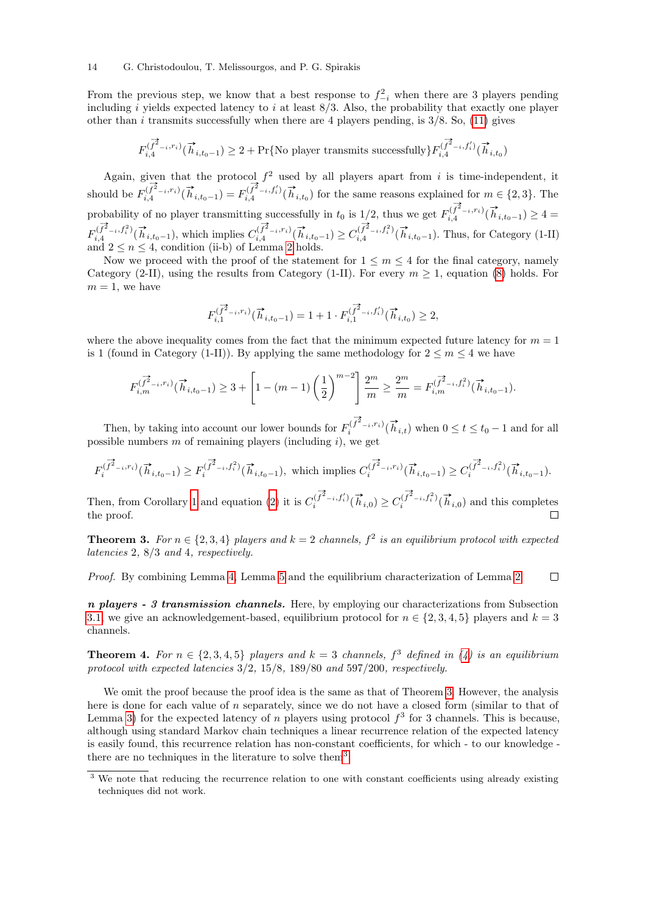#### 14 G. Christodoulou, T. Melissourgos, and P. G. Spirakis

From the previous step, we know that a best response to  $f_{-i}^2$  when there are 3 players pending including i yields expected latency to i at least  $8/3$ . Also, the probability that exactly one player other than  $i$  transmits successfully when there are 4 players pending, is  $3/8$ . So, [\(11\)](#page-12-1) gives

$$
F_{i,4}^{(\overrightarrow{f}^{\mathbf{2}}-\iota,r_{i})}(\overrightarrow{h}_{i,t_{0}-1})\geq 2+\Pr\{\textrm{No player transmits successfully}\}F_{i,4}^{(\overrightarrow{f}^{\mathbf{2}}-\iota,f'_{i})}(\overrightarrow{h}_{i,t_{0}})
$$

Again, given that the protocol  $f^2$  used by all players apart from i is time-independent, it should be  $F_{i,4}^{(\vec{f}^2 - i,r_i)}(\vec{h}_{i,t_0-1}) = F_{i,4}^{(\vec{f}^2 - i,f_i')}$  $\sum_{i=1}^{n} \sum_{i=1}^{n} (\overrightarrow{h}_{i,t_0})$  for the same reasons explained for  $m \in \{2,3\}$ . The probability of no player transmitting successfully in  $t_0$  is  $1/2$ , thus we get  $F_{i,4}^{(\overrightarrow{f}^2-i,r_i)}(\overrightarrow{h}_{i,t_0-1}) \geq 4$  $F_{iA}^{(\vec{f}^2-i,f_i^2)}$  $\sum_{i=1}^{\infty} \frac{(\overrightarrow{f}_i^2)_{i}(t)}{(\overrightarrow{h}_{i,t_0-1})_{i}(t)}$ , which implies  $C_{i,4}^{(\overrightarrow{f}_i^2-i,r_i)}(\overrightarrow{h}_{i,t_0-1}) \geq C_{i,4}^{(\overrightarrow{f}_i^2-i,f_i^2)}$  $\prod_{i,4}^{(\overrightarrow{f}^2-i,\overrightarrow{f}_i^2)}(\overrightarrow{h}_{i,t_0-1})$ . Thus, for Category (1-II) and  $2 \leq n \leq 4$ , condition (ii-b) of Lemma [2](#page-5-0) holds.

Now we proceed with the proof of the statement for  $1 \leq m \leq 4$  for the final category, namely Category (2-II), using the results from Category (1-II). For every  $m \geq 1$ , equation [\(8\)](#page-9-0) holds. For  $m = 1$ , we have

$$
F_{i,1}^{(\overrightarrow{f}^{\mathbf{2}}-i,r_i)}(\overrightarrow{h}_{i,t_0-1})=1+1\cdot F_{i,1}^{(\overrightarrow{f}^{\mathbf{2}}-i,f_i')}(\overrightarrow{h}_{i,t_0})\geq 2,
$$

where the above inequality comes from the fact that the minimum expected future latency for  $m = 1$ is 1 (found in Category (1-II)). By applying the same methodology for  $2 \le m \le 4$  we have

$$
F_{i,m}^{(\overrightarrow{f}_{i-1}^2,r_i)}(\overrightarrow{h}_{i,t_0-1}) \geq 3 + \left[1 - (m-1)\left(\frac{1}{2}\right)^{m-2}\right] \frac{2^m}{m} \geq \frac{2^m}{m} = F_{i,m}^{(\overrightarrow{f}_{i-1}^2,r_i^2)}(\overrightarrow{h}_{i,t_0-1}).
$$

Then, by taking into account our lower bounds for  $F_i^{(\overrightarrow{f}_{-i},r_i)}(\overrightarrow{h}_{i,t})$  when  $0 \le t \le t_0 - 1$  and for all possible numbers  $m$  of remaining players (including  $i$ ), we get

$$
F_i^{(\overrightarrow{f}^2-i,r_i)}(\overrightarrow{h}_{i,t_0-1}) \ge F_i^{(\overrightarrow{f}^2-i,f_i^2)}(\overrightarrow{h}_{i,t_0-1}),
$$
 which implies  $C_i^{(\overrightarrow{f}^2-i,r_i)}(\overrightarrow{h}_{i,t_0-1}) \ge C_i^{(\overrightarrow{f}^2-i,f_i^2)}(\overrightarrow{h}_{i,t_0-1}).$ 

Then, from Corollary [1](#page-5-1) and equation [\(2\)](#page-4-1) it is  $C_i^{(\overrightarrow{f}_i^2-i,f_i')}$  $\binom{\vec{f}^2-i, f'_i}{i}(\vec{h}_{i,0}) \ge C_i^{(\vec{f}^2-i, f_i^2)}$  $\prod_{i}^{(\overrightarrow{f}_{i}-i,\overrightarrow{f}_{i}^{2})}(\overrightarrow{h}_{i,0})$  and this completes the proof.  $\Box$ 

<span id="page-13-0"></span>**Theorem 3.** For  $n \in \{2,3,4\}$  players and  $k = 2$  channels,  $f^2$  is an equilibrium protocol with expected latencies 2, 8/3 and 4, respectively.

Proof. By combining Lemma [4,](#page-9-1) Lemma [5](#page-11-2) and the equilibrium characterization of Lemma [2.](#page-5-0)  $\Box$ 

 $n$  players - 3 transmission channels. Here, by employing our characterizations from Subsection [3.1,](#page-4-3) we give an acknowledgement-based, equilibrium protocol for  $n \in \{2, 3, 4, 5\}$  players and  $k = 3$ channels.

**Theorem 4.** For  $n \in \{2, 3, 4, 5\}$  players and  $k = 3$  channels,  $f^3$  defined in [\(4\)](#page-6-0) is an equilibrium protocol with expected latencies 3/2, 15/8, 189/80 and 597/200, respectively.

We omit the proof because the proof idea is the same as that of Theorem [3.](#page-13-0) However, the analysis here is done for each value of  $n$  separately, since we do not have a closed form (similar to that of Lemma [3\)](#page-6-1) for the expected latency of n players using protocol  $f^3$  for 3 channels. This is because, although using standard Markov chain techniques a linear recurrence relation of the expected latency is easily found, this recurrence relation has non-constant coefficients, for which - to our knowledge - there are no techniques in the literature to solve them<sup>[3](#page-13-1)</sup>.

<span id="page-13-1"></span><sup>&</sup>lt;sup>3</sup> We note that reducing the recurrence relation to one with constant coefficients using already existing techniques did not work.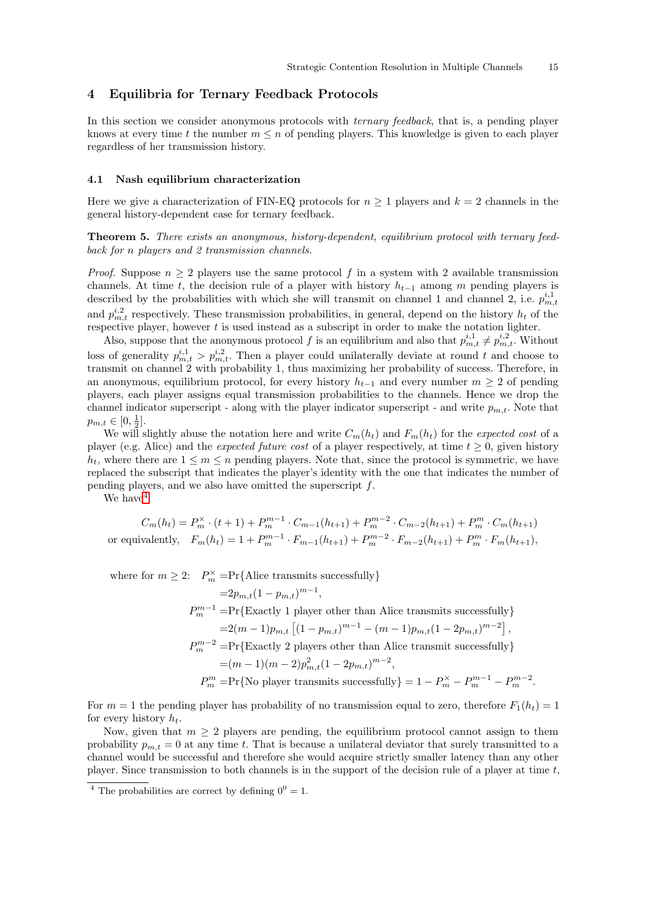# <span id="page-14-0"></span>4 Equilibria for Ternary Feedback Protocols

In this section we consider anonymous protocols with *ternary feedback*, that is, a pending player knows at every time t the number  $m \leq n$  of pending players. This knowledge is given to each player regardless of her transmission history.

#### <span id="page-14-2"></span>4.1 Nash equilibrium characterization

Here we give a characterization of FIN-EQ protocols for  $n \geq 1$  players and  $k = 2$  channels in the general history-dependent case for ternary feedback.

Theorem 5. There exists an anonymous, history-dependent, equilibrium protocol with ternary feedback for n players and 2 transmission channels.

*Proof.* Suppose  $n \geq 2$  players use the same protocol f in a system with 2 available transmission channels. At time t, the decision rule of a player with history  $h_{t-1}$  among m pending players is described by the probabilities with which she will transmit on channel 1 and channel 2, i.e.  $p_{m,t}^{i,1}$ and  $p_{m,t}^{i,2}$  respectively. These transmission probabilities, in general, depend on the history  $h_t$  of the respective player, however  $t$  is used instead as a subscript in order to make the notation lighter.

Also, suppose that the anonymous protocol f is an equilibrium and also that  $p_{m,t}^{i,1} \neq p_{m,t}^{i,2}$ . Without loss of generality  $p_{m,t}^{i,1} > p_{m,t}^{i,2}$ . Then a player could unilaterally deviate at round t and choose to transmit on channel 2 with probability 1, thus maximizing her probability of success. Therefore, in an anonymous, equilibrium protocol, for every history  $h_{t-1}$  and every number  $m \geq 2$  of pending players, each player assigns equal transmission probabilities to the channels. Hence we drop the channel indicator superscript - along with the player indicator superscript - and write  $p_{m,t}$ . Note that  $p_{m,t} \in [0, \frac{1}{2}].$ 

We will slightly abuse the notation here and write  $C_m(h_t)$  and  $F_m(h_t)$  for the expected cost of a player (e.g. Alice) and the *expected future cost* of a player respectively, at time  $t \geq 0$ , given history  $h_t$ , where there are  $1 \leq m \leq n$  pending players. Note that, since the protocol is symmetric, we have replaced the subscript that indicates the player's identity with the one that indicates the number of pending players, and we also have omitted the superscript f.

We have  $4$ 

$$
C_m(h_t) = P_m^{\times} \cdot (t+1) + P_m^{m-1} \cdot C_{m-1}(h_{t+1}) + P_m^{m-2} \cdot C_{m-2}(h_{t+1}) + P_m^m \cdot C_m(h_{t+1})
$$
  
or equivalently,  $F_m(h_t) = 1 + P_m^{m-1} \cdot F_{m-1}(h_{t+1}) + P_m^{m-2} \cdot F_{m-2}(h_{t+1}) + P_m^m \cdot F_m(h_{t+1}),$ 

where for 
$$
m \geq 2
$$
:  $P_m^{\times} = Pr\{\text{Alice transmits successfully}\}\$   
\n $= 2p_{m,t}(1 - p_{m,t})^{m-1}$ ,  
\n $P_m^{m-1} = Pr\{\text{Exactly 1 player other than Alice transmits successfully}\}\$   
\n $= 2(m-1)p_{m,t}[(1 - p_{m,t})^{m-1} - (m-1)p_{m,t}(1 - 2p_{m,t})^{m-2}],$   
\n $P_m^{m-2} = Pr\{\text{Exactly 2 players other than Alice transmit successfully}\}\$   
\n $= (m-1)(m-2)p_{m,t}^2(1 - 2p_{m,t})^{m-2},$   
\n $P_m^m = Pr\{\text{No player transmits successfully}\}\ = 1 - P_m^{\times} - P_m^{m-1} - P_m^{m-2}.$ 

For  $m = 1$  the pending player has probability of no transmission equal to zero, therefore  $F_1(h_t) = 1$ for every history  $h_t$ .

Now, given that  $m \geq 2$  players are pending, the equilibrium protocol cannot assign to them probability  $p_{m,t} = 0$  at any time t. That is because a unilateral deviator that surely transmitted to a channel would be successful and therefore she would acquire strictly smaller latency than any other player. Since transmission to both channels is in the support of the decision rule of a player at time  $t$ ,

<span id="page-14-1"></span><sup>&</sup>lt;sup>4</sup> The probabilities are correct by defining  $0^0 = 1$ .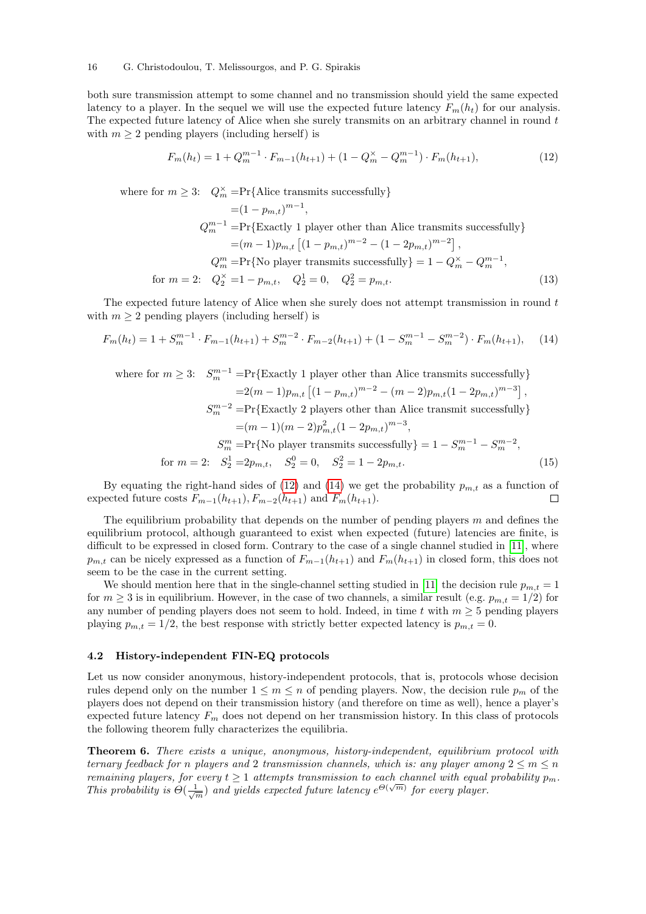both sure transmission attempt to some channel and no transmission should yield the same expected latency to a player. In the sequel we will use the expected future latency  $F_m(h_t)$  for our analysis. The expected future latency of Alice when she surely transmits on an arbitrary channel in round t with  $m \geq 2$  pending players (including herself) is

<span id="page-15-3"></span><span id="page-15-1"></span>
$$
F_m(h_t) = 1 + Q_m^{m-1} \cdot F_{m-1}(h_{t+1}) + (1 - Q_m^{\times} - Q_m^{m-1}) \cdot F_m(h_{t+1}), \tag{12}
$$

where for  $m \geq 3$ :  $Q_m^{\times} = Pr{\text{Alice transmits successfully}}$ 

<span id="page-15-2"></span>
$$
= (1 - p_{m,t})^{m-1},
$$
  
\n
$$
Q_m^{m-1} = \Pr\{\text{Exactly 1 player other than Alice transmits successfully}\}
$$
  
\n
$$
= (m - 1)p_{m,t} \left[ (1 - p_{m,t})^{m-2} - (1 - 2p_{m,t})^{m-2} \right],
$$
  
\n
$$
Q_m^m = \Pr\{\text{No player transmits successfully}\} = 1 - Q_m^{\times} - Q_m^{m-1},
$$
  
\nfor  $m = 2$ :  $Q_2^{\times} = 1 - p_{m,t}, Q_2^1 = 0, Q_2^2 = p_{m,t}.$  (13)

The expected future latency of Alice when she surely does not attempt transmission in round t with  $m \geq 2$  pending players (including herself) is

$$
F_m(h_t) = 1 + S_m^{m-1} \cdot F_{m-1}(h_{t+1}) + S_m^{m-2} \cdot F_{m-2}(h_{t+1}) + (1 - S_m^{m-1} - S_m^{m-2}) \cdot F_m(h_{t+1}), \quad (14)
$$

<span id="page-15-4"></span>where for 
$$
m \ge 3
$$
:  $S_m^{m-1} = \Pr{\text{Exactly 1 player other than Alice transmits successfully}}$   
\n
$$
= 2(m-1)p_{m,t} \left[ (1-p_{m,t})^{m-2} - (m-2)p_{m,t} (1-2p_{m,t})^{m-3} \right],
$$
\n
$$
S_m^{m-2} = \Pr{\text{Exactly 2 players other than Alice transmit successfully}}
$$
\n
$$
= (m-1)(m-2)p_{m,t}^2 (1-2p_{m,t})^{m-3},
$$
\n
$$
S_m^m = \Pr{\text{No player transmits successfully}} = 1 - S_m^{m-1} - S_m^{m-2},
$$
\nfor  $m = 2$ :  $S_2^1 = 2p_{m,t}, S_2^0 = 0, S_2^2 = 1 - 2p_{m,t}.$  (15)

By equating the right-hand sides of [\(12\)](#page-15-1) and [\(14\)](#page-15-2) we get the probability  $p_{m,t}$  as a function of expected future costs  $F_{m-1}(h_{t+1}), F_{m-2}(h_{t+1})$  and  $F_m(h_{t+1})$ .

The equilibrium probability that depends on the number of pending players  $m$  and defines the equilibrium protocol, although guaranteed to exist when expected (future) latencies are finite, is difficult to be expressed in closed form. Contrary to the case of a single channel studied in [\[11\]](#page-26-6), where  $p_{m,t}$  can be nicely expressed as a function of  $F_{m-1}(h_{t+1})$  and  $F_m(h_{t+1})$  in closed form, this does not seem to be the case in the current setting.

We should mention here that in the single-channel setting studied in [\[11\]](#page-26-6) the decision rule  $p_{m,t} = 1$ for  $m \geq 3$  is in equilibrium. However, in the case of two channels, a similar result (e.g.  $p_{m,t} = 1/2$ ) for any number of pending players does not seem to hold. Indeed, in time t with  $m \geq 5$  pending players playing  $p_{m,t} = 1/2$ , the best response with strictly better expected latency is  $p_{m,t} = 0$ .

#### <span id="page-15-0"></span>4.2 History-independent FIN-EQ protocols

Let us now consider anonymous, history-independent protocols, that is, protocols whose decision rules depend only on the number  $1 \leq m \leq n$  of pending players. Now, the decision rule  $p_m$  of the players does not depend on their transmission history (and therefore on time as well), hence a player's expected future latency  $F_m$  does not depend on her transmission history. In this class of protocols the following theorem fully characterizes the equilibria.

<span id="page-15-5"></span>Theorem 6. There exists a unique, anonymous, history-independent, equilibrium protocol with ternary feedback for n players and 2 transmission channels, which is: any player among  $2 \leq m \leq n$ remaining players, for every  $t \geq 1$  attempts transmission to each channel with equal probability  $p_m$ . This probability is  $\Theta(\frac{1}{\sqrt{m}})$  and yields expected future latency  $e^{\Theta(\sqrt{m})}$  for every player.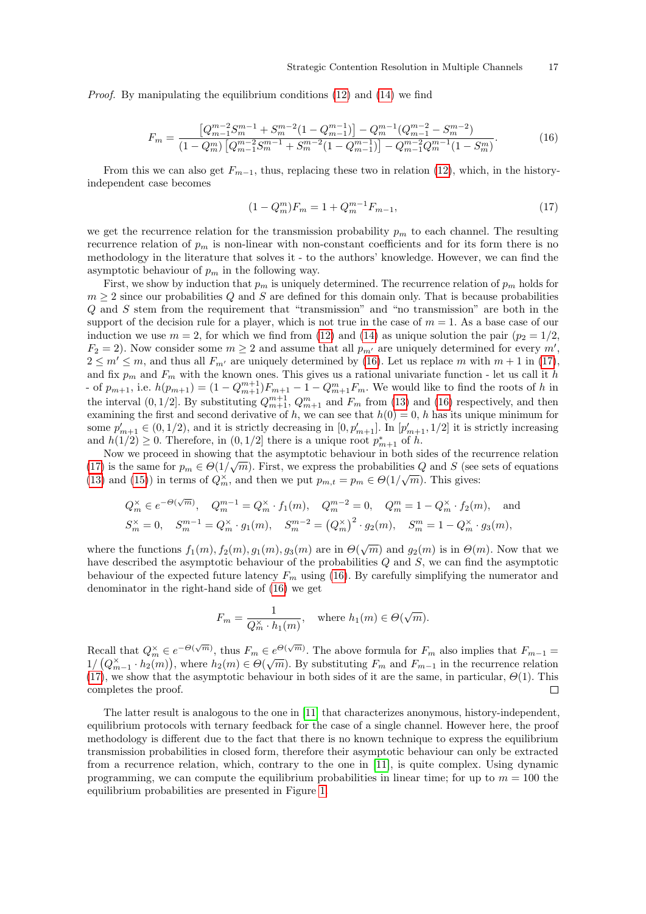Proof. By manipulating the equilibrium conditions [\(12\)](#page-15-1) and [\(14\)](#page-15-2) we find

$$
F_m = \frac{\left[Q_{m-1}^{m-2}S_m^{m-1} + S_m^{m-2}(1 - Q_{m-1}^{m-1})\right] - Q_m^{m-1}(Q_{m-1}^{m-2} - S_m^{m-2})}{(1 - Q_m^m) \left[Q_{m-1}^{m-2}S_m^{m-1} + S_m^{m-2}(1 - Q_{m-1}^{m-1})\right] - Q_{m-1}^{m-2}Q_m^{m-1}(1 - S_m^m)}.
$$
(16)

From this we can also get  $F_{m-1}$ , thus, replacing these two in relation [\(12\)](#page-15-1), which, in the historyindependent case becomes

<span id="page-16-1"></span><span id="page-16-0"></span>
$$
(1 - Q_m^m)F_m = 1 + Q_m^{m-1}F_{m-1},\tag{17}
$$

we get the recurrence relation for the transmission probability  $p_m$  to each channel. The resulting recurrence relation of  $p_m$  is non-linear with non-constant coefficients and for its form there is no methodology in the literature that solves it - to the authors' knowledge. However, we can find the asymptotic behaviour of  $p_m$  in the following way.

First, we show by induction that  $p_m$  is uniquely determined. The recurrence relation of  $p_m$  holds for  $m \geq 2$  since our probabilities Q and S are defined for this domain only. That is because probabilities Q and S stem from the requirement that "transmission" and "no transmission" are both in the support of the decision rule for a player, which is not true in the case of  $m = 1$ . As a base case of our induction we use  $m = 2$ , for which we find from [\(12\)](#page-15-1) and [\(14\)](#page-15-2) as unique solution the pair  $(p_2 = 1/2,$  $F_2 = 2$ ). Now consider some  $m \geq 2$  and assume that all  $p_{m'}$  are uniquely determined for every m',  $2 \le m' \le m$ , and thus all  $F_{m'}$  are uniquely determined by [\(16\)](#page-16-0). Let us replace m with  $m + 1$  in [\(17\)](#page-16-1), and fix  $p_m$  and  $F_m$  with the known ones. This gives us a rational univariate function - let us call it h - of  $p_{m+1}$ , i.e.  $h(p_{m+1}) = (1 - Q_{m+1}^{m+1})F_{m+1} - 1 - Q_{m+1}^m F_m$ . We would like to find the roots of h in the interval  $(0, 1/2]$ . By substituting  $Q_{m+1}^{m+1}$ ,  $Q_{m+1}^m$  and  $F_m$  from [\(13\)](#page-15-3) and [\(16\)](#page-16-0) respectively, and then examining the first and second derivative of h, we can see that  $h(0) = 0$ , h has its unique minimum for some  $p'_{m+1} \in (0, 1/2)$ , and it is strictly decreasing in  $[0, p'_{m+1}]$ . In  $[p'_{m+1}, 1/2]$  it is strictly increasing and  $h(1/2) \geq 0$ . Therefore, in  $(0, 1/2]$  there is a unique root  $p_{m+1}^*$  of h.

Now we proceed in showing that the asymptotic behaviour in both sides of the recurrence relation [\(17\)](#page-16-1) is the same for  $p_m \in \Theta(1/\sqrt{m})$ . First, we express the probabilities Q and S (see sets of equations [\(13\)](#page-15-3) and [\(15\)](#page-15-4)) in terms of  $Q_m^{\times}$ , and then we put  $p_{m,t} = p_m \in \Theta(1/\sqrt{m})$ . This gives:

$$
Q_m^{\times} \in e^{-\Theta(\sqrt{m})}, \quad Q_m^{m-1} = Q_m^{\times} \cdot f_1(m), \quad Q_m^{m-2} = 0, \quad Q_m^m = 1 - Q_m^{\times} \cdot f_2(m), \quad \text{and}
$$
  

$$
S_m^{\times} = 0, \quad S_m^{m-1} = Q_m^{\times} \cdot g_1(m), \quad S_m^{m-2} = (Q_m^{\times})^2 \cdot g_2(m), \quad S_m^m = 1 - Q_m^{\times} \cdot g_3(m),
$$

where the functions  $f_1(m)$ ,  $f_2(m)$ ,  $g_1(m)$ ,  $g_3(m)$  are in  $\Theta(\sqrt{m})$  and  $g_2(m)$  is in  $\Theta(m)$ . Now that we have described the asymptotic behaviour of the probabilities Q and S, we can find the asymptotic behaviour of the expected future latency  $F_m$  using [\(16\)](#page-16-0). By carefully simplifying the numerator and denominator in the right-hand side of [\(16\)](#page-16-0) we get

$$
F_m = \frac{1}{Q_m^{\times} \cdot h_1(m)}, \quad \text{where } h_1(m) \in \Theta(\sqrt{m}).
$$

Recall that  $Q_m^{\times} \in e^{-\Theta(\sqrt{m})}$ , thus  $F_m \in e^{\Theta(\sqrt{m})}$ . The above formula for  $F_m$  also implies that  $F_{m-1} =$  $1/\left(Q_{m-1}^{\times}\cdot h_2(m)\right)$ , where  $h_2(m) \in \Theta(\sqrt{m})$ . By substituting  $F_m$  and  $F_{m-1}$  in the recurrence relation [\(17\)](#page-16-1), we show that the asymptotic behaviour in both sides of it are the same, in particular,  $\Theta(1)$ . This completes the proof.  $\Box$ 

The latter result is analogous to the one in [\[11\]](#page-26-6) that characterizes anonymous, history-independent, equilibrium protocols with ternary feedback for the case of a single channel. However here, the proof methodology is different due to the fact that there is no known technique to express the equilibrium transmission probabilities in closed form, therefore their asymptotic behaviour can only be extracted from a recurrence relation, which, contrary to the one in [\[11\]](#page-26-6), is quite complex. Using dynamic programming, we can compute the equilibrium probabilities in linear time; for up to  $m = 100$  the equilibrium probabilities are presented in Figure [1.](#page-17-2)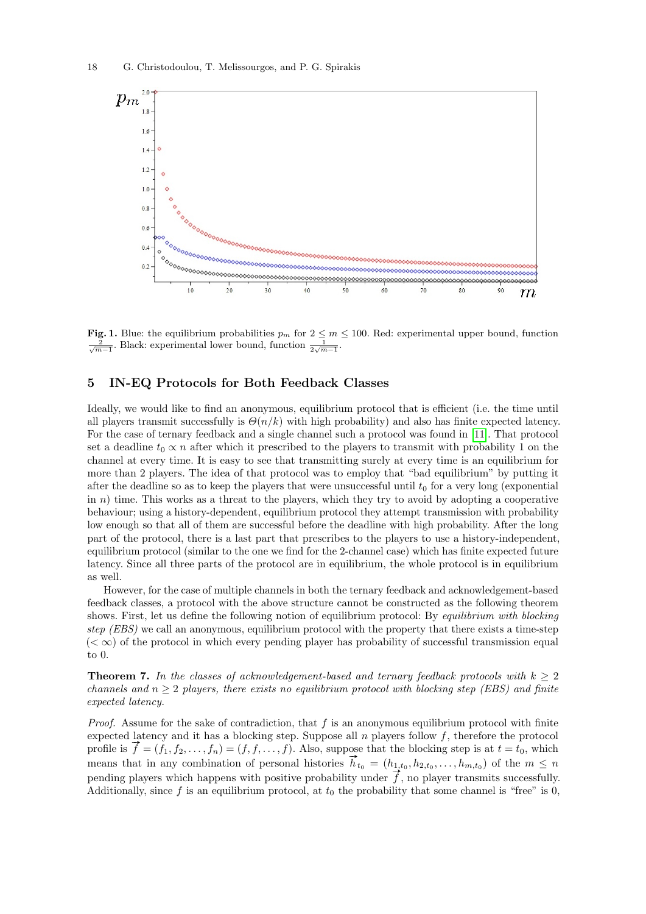

<span id="page-17-2"></span>Fig. 1. Blue: the equilibrium probabilities  $p_m$  for  $2 \le m \le 100$ . Red: experimental upper bound, function  $\frac{2}{\sqrt{m-1}}$ . Black: experimental lower bound, function  $\frac{1}{2\sqrt{m-1}}$ .

# <span id="page-17-1"></span>5 IN-EQ Protocols for Both Feedback Classes

Ideally, we would like to find an anonymous, equilibrium protocol that is efficient (i.e. the time until all players transmit successfully is  $\Theta(n/k)$  with high probability) and also has finite expected latency. For the case of ternary feedback and a single channel such a protocol was found in [\[11\]](#page-26-6). That protocol set a deadline  $t_0 \propto n$  after which it prescribed to the players to transmit with probability 1 on the channel at every time. It is easy to see that transmitting surely at every time is an equilibrium for more than 2 players. The idea of that protocol was to employ that "bad equilibrium" by putting it after the deadline so as to keep the players that were unsuccessful until  $t_0$  for a very long (exponential in  $n$ ) time. This works as a threat to the players, which they try to avoid by adopting a cooperative behaviour; using a history-dependent, equilibrium protocol they attempt transmission with probability low enough so that all of them are successful before the deadline with high probability. After the long part of the protocol, there is a last part that prescribes to the players to use a history-independent, equilibrium protocol (similar to the one we find for the 2-channel case) which has finite expected future latency. Since all three parts of the protocol are in equilibrium, the whole protocol is in equilibrium as well.

However, for the case of multiple channels in both the ternary feedback and acknowledgement-based feedback classes, a protocol with the above structure cannot be constructed as the following theorem shows. First, let us define the following notion of equilibrium protocol: By equilibrium with blocking step (EBS) we call an anonymous, equilibrium protocol with the property that there exists a time-step  $( $\infty$ ) of the protocol in which every pending player has probability of successful transmission equal$ to 0.

<span id="page-17-0"></span>**Theorem 7.** In the classes of acknowledgement-based and ternary feedback protocols with  $k > 2$ channels and  $n \geq 2$  players, there exists no equilibrium protocol with blocking step (EBS) and finite expected latency.

*Proof.* Assume for the sake of contradiction, that f is an anonymous equilibrium protocol with finite expected latency and it has a blocking step. Suppose all  $n$  players follow  $f$ , therefore the protocol profile is  $f = (f_1, f_2, \ldots, f_n) = (f, f, \ldots, f)$ . Also, suppose that the blocking step is at  $t = t_0$ , which prome is  $j = (j_1, j_2, \dots, j_n) = (j, j, \dots, j)$ . Also, suppose that the blocking step is at  $t = t_0$ , which<br>means that in any combination of personal histories  $\vec{h}_{t_0} = (h_{1,t_0}, h_{2,t_0}, \dots, h_{m,t_0})$  of the  $m \le n$ pending players which happens with positive probability under  $\vec{f}$ , no player transmits successfully. Additionally, since f is an equilibrium protocol, at  $t_0$  the probability that some channel is "free" is 0,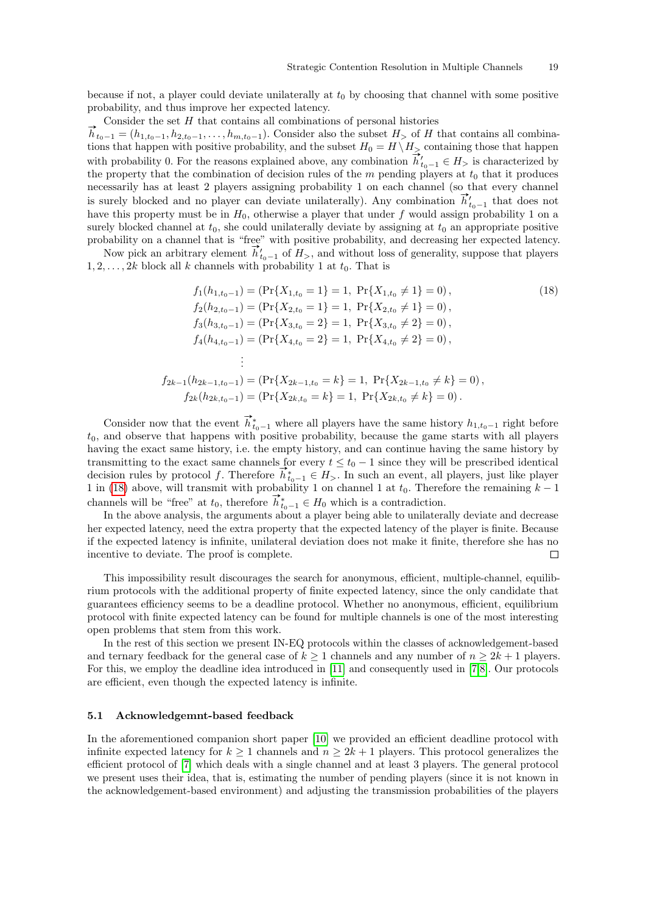because if not, a player could deviate unilaterally at  $t_0$  by choosing that channel with some positive probability, and thus improve her expected latency.

Consider the set H that contains all combinations of personal histories<br> $\overrightarrow{h}_{t_0-1} = (h_{1,t_0-1}, h_{2,t_0-1}, \ldots, h_{m,t_0-1})$ . Consider also the subset  $H_>$  of H that contains all combinations that happen with positive probability, and the subset  $H_0 = H \setminus H_{\geq}$  containing those that happen tions that happen with positive probability, and the subset  $H_0 = H \setminus H_2$  containing those that happen<br>with probability 0. For the reasons explained above, any combination  $\overline{h}'_{t_0-1} \in H_2$  is characterized by the property that the combination of decision rules of the  $m$  pending players at  $t_0$  that it produces necessarily has at least 2 players assigning probability 1 on each channel (so that every channel is surely blocked and no player can deviate unilaterally). Any combination  $\vec{h}'_{t_{0}-1}$  that does not have this property must be in  $H_0$ , otherwise a player that under f would assign probability 1 on a surely blocked channel at  $t_0$ , she could unilaterally deviate by assigning at  $t_0$  an appropriate positive probability on a channel that is "free" with positive probability, and decreasing her expected latency.

bability on a channel that is "free" with positive probability, and decreasing her expected latency<br>Now pick an arbitrary element  $\vec{h}'_{t_0-1}$  of  $H_>$ , and without loss of generality, suppose that players  $1, 2, \ldots, 2k$  block all k channels with probability 1 at  $t_0$ . That is

<span id="page-18-0"></span>
$$
f_1(h_{1,t_0-1}) = (\Pr\{X_{1,t_0} = 1\} = 1, \Pr\{X_{1,t_0} \neq 1\} = 0),
$$
  
\n
$$
f_2(h_{2,t_0-1}) = (\Pr\{X_{2,t_0} = 1\} = 1, \Pr\{X_{2,t_0} \neq 1\} = 0),
$$
  
\n
$$
f_3(h_{3,t_0-1}) = (\Pr\{X_{3,t_0} = 2\} = 1, \Pr\{X_{3,t_0} \neq 2\} = 0),
$$
  
\n
$$
f_4(h_{4,t_0-1}) = (\Pr\{X_{4,t_0} = 2\} = 1, \Pr\{X_{4,t_0} \neq 2\} = 0),
$$
  
\n
$$
\vdots
$$
  
\n
$$
f_{2k-1}(h_{2k-1,t_0-1}) = (\Pr\{X_{2k-1,t_0} = k\} = 1, \Pr\{X_{2k-1,t_0} \neq k\} = 0),
$$
  
\n
$$
f_{2k}(h_{2k,t_0-1}) = (\Pr\{X_{2k,t_0} = k\} = 1, \Pr\{X_{2k,t_0} \neq k\} = 0).
$$
  
\n(18)

Consider now that the event  $\vec{h}_{t_0-1}^*$  where all players have the same history  $h_{1,t_0-1}$  right before  $t_0$ , and observe that happens with positive probability, because the game starts with all players having the exact same history, i.e. the empty history, and can continue having the same history by transmitting to the exact same channels for every  $t \leq t_0 - 1$  since they will be prescribed identical transmitting to the exact same channels for every  $t \leq t_0 - 1$  since they will be prescribed identical decision rules by protocol f. Therefore  $\vec{h}_{t_0-1}^* \in H_>$ . In such an event, all players, just like player 1 in [\(18\)](#page-18-0) above, will transmit with probability 1 on channel 1 at  $t_0$ . Therefore the remaining  $k-1$ T in (18) above, will transmit with probability 1 on channel 1 at  $t_0$ . Therefore  $\vec{h}^*_{t_0-1} \in H_0$  which is a contradiction.

In the above analysis, the arguments about a player being able to unilaterally deviate and decrease her expected latency, need the extra property that the expected latency of the player is finite. Because if the expected latency is infinite, unilateral deviation does not make it finite, therefore she has no incentive to deviate. The proof is complete.  $\Box$ 

This impossibility result discourages the search for anonymous, efficient, multiple-channel, equilibrium protocols with the additional property of finite expected latency, since the only candidate that guarantees efficiency seems to be a deadline protocol. Whether no anonymous, efficient, equilibrium protocol with finite expected latency can be found for multiple channels is one of the most interesting open problems that stem from this work.

In the rest of this section we present IN-EQ protocols within the classes of acknowledgement-based and ternary feedback for the general case of  $k \ge 1$  channels and any number of  $n \ge 2k + 1$  players. For this, we employ the deadline idea introduced in [\[11\]](#page-26-6) and consequently used in [\[7,](#page-25-2)[8\]](#page-26-18). Our protocols are efficient, even though the expected latency is infinite.

#### 5.1 Acknowledgemnt-based feedback

In the aforementioned companion short paper [\[10\]](#page-26-7) we provided an efficient deadline protocol with infinite expected latency for  $k \geq 1$  channels and  $n \geq 2k + 1$  players. This protocol generalizes the efficient protocol of [\[7\]](#page-25-2) which deals with a single channel and at least 3 players. The general protocol we present uses their idea, that is, estimating the number of pending players (since it is not known in the acknowledgement-based environment) and adjusting the transmission probabilities of the players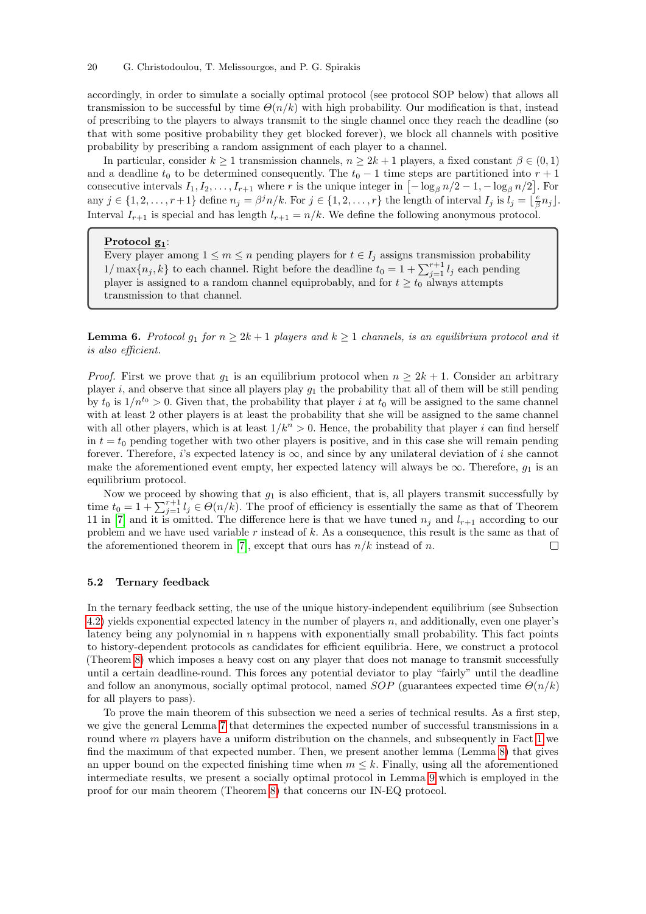accordingly, in order to simulate a socially optimal protocol (see protocol SOP below) that allows all transmission to be successful by time  $\Theta(n/k)$  with high probability. Our modification is that, instead of prescribing to the players to always transmit to the single channel once they reach the deadline (so that with some positive probability they get blocked forever), we block all channels with positive probability by prescribing a random assignment of each player to a channel.

In particular, consider  $k \ge 1$  transmission channels,  $n \ge 2k + 1$  players, a fixed constant  $\beta \in (0,1)$ and a deadline  $t_0$  to be determined consequently. The  $t_0 - 1$  time steps are partitioned into  $r + 1$ consecutive intervals  $I_1, I_2, \ldots, I_{r+1}$  where r is the unique integer in  $\left[-\log_\beta n/2 - 1, -\log_\beta n/2\right]$ . For any  $j \in \{1, 2, \ldots, r+1\}$  define  $n_j = \beta^j n/k$ . For  $j \in \{1, 2, \ldots, r\}$  the length of interval  $I_j$  is  $l_j = \lfloor \frac{e}{\beta} n_j \rfloor$ . Interval  $I_{r+1}$  is special and has length  $l_{r+1} = n/k$ . We define the following anonymous protocol.

#### Protocol g<sub>1</sub>:

Every player among  $1 \leq m \leq n$  pending players for  $t \in I_j$  assigns transmission probability  $1/\max\{n_j, k\}$  to each channel. Right before the deadline  $t_0 = 1 + \sum_{j=1}^{r+1} l_j$  each pending player is assigned to a random channel equiprobably, and for  $t \geq t_0$  always attempts transmission to that channel.

**Lemma 6.** Protocol  $g_1$  for  $n \geq 2k + 1$  players and  $k \geq 1$  channels, is an equilibrium protocol and it is also efficient.

*Proof.* First we prove that  $g_1$  is an equilibrium protocol when  $n \geq 2k + 1$ . Consider an arbitrary player i, and observe that since all players play  $q_1$  the probability that all of them will be still pending by  $t_0$  is  $1/n^{t_0} > 0$ . Given that, the probability that player i at  $t_0$  will be assigned to the same channel with at least 2 other players is at least the probability that she will be assigned to the same channel with all other players, which is at least  $1/k^n > 0$ . Hence, the probability that player i can find herself in  $t = t_0$  pending together with two other players is positive, and in this case she will remain pending forever. Therefore, i's expected latency is  $\infty$ , and since by any unilateral deviation of i she cannot make the aforementioned event empty, her expected latency will always be  $\infty$ . Therefore,  $g_1$  is an equilibrium protocol.

Now we proceed by showing that  $g_1$  is also efficient, that is, all players transmit successfully by time  $t_0 = 1 + \sum_{j=1}^{r+1} l_j \in \Theta(n/k)$ . The proof of efficiency is essentially the same as that of Theorem 11 in [\[7\]](#page-25-2) and it is omitted. The difference here is that we have tuned  $n_i$  and  $l_{r+1}$  according to our problem and we have used variable r instead of  $k$ . As a consequence, this result is the same as that of the aforementioned theorem in [\[7\]](#page-25-2), except that ours has  $n/k$  instead of n.  $\Box$ 

#### 5.2 Ternary feedback

In the ternary feedback setting, the use of the unique history-independent equilibrium (see Subsection [4.2\)](#page-15-0) yields exponential expected latency in the number of players  $n$ , and additionally, even one player's latency being any polynomial in  $n$  happens with exponentially small probability. This fact points to history-dependent protocols as candidates for efficient equilibria. Here, we construct a protocol (Theorem [8\)](#page-24-0) which imposes a heavy cost on any player that does not manage to transmit successfully until a certain deadline-round. This forces any potential deviator to play "fairly" until the deadline and follow an anonymous, socially optimal protocol, named  $SOP$  (guarantees expected time  $\Theta(n/k)$ ) for all players to pass).

<span id="page-19-0"></span>To prove the main theorem of this subsection we need a series of technical results. As a first step, we give the general Lemma [7](#page-19-0) that determines the expected number of successful transmissions in a round where  $m$  players have a uniform distribution on the channels, and subsequently in Fact [1](#page-21-0) we find the maximum of that expected number. Then, we present another lemma (Lemma [8\)](#page-21-1) that gives an upper bound on the expected finishing time when  $m \leq k$ . Finally, using all the aforementioned intermediate results, we present a socially optimal protocol in Lemma [9](#page-22-0) which is employed in the proof for our main theorem (Theorem [8\)](#page-24-0) that concerns our IN-EQ protocol.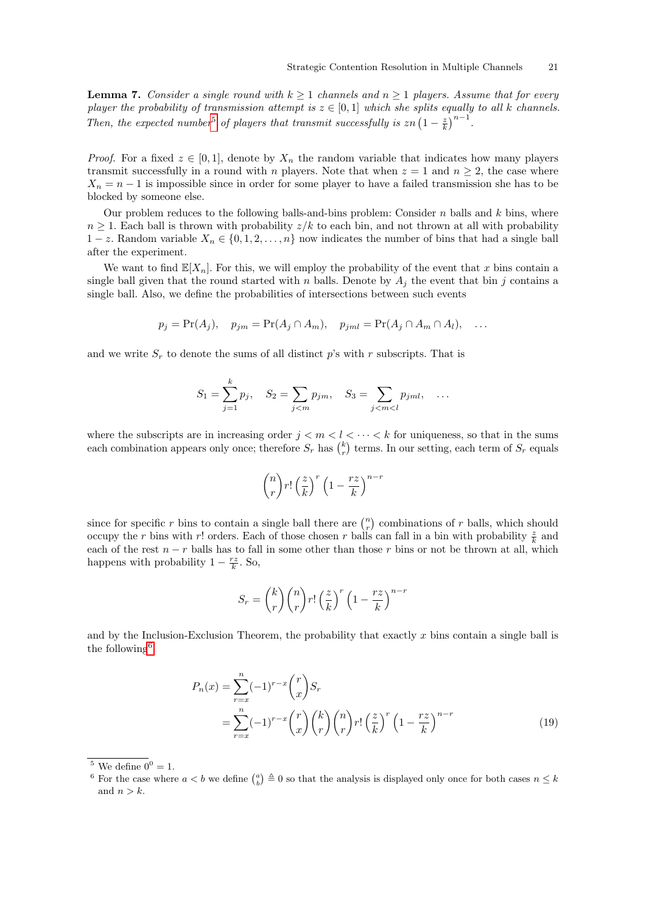**Lemma 7.** Consider a single round with  $k \ge 1$  channels and  $n \ge 1$  players. Assume that for every player the probability of transmission attempt is  $z \in [0,1]$  which she splits equally to all k channels. Then, the expected number<sup>[5](#page-20-1)</sup> of players that transmit successfully is  $zn \left(1 - \frac{z}{k}\right)^{n-1}$ .

*Proof.* For a fixed  $z \in [0,1]$ , denote by  $X_n$  the random variable that indicates how many players transmit successfully in a round with n players. Note that when  $z = 1$  and  $n \geq 2$ , the case where  $X_n = n - 1$  is impossible since in order for some player to have a failed transmission she has to be blocked by someone else.

Our problem reduces to the following balls-and-bins problem: Consider  $n$  balls and  $k$  bins, where  $n \geq 1$ . Each ball is thrown with probability  $z/k$  to each bin, and not thrown at all with probability  $1-z$ . Random variable  $X_n \in \{0,1,2,\ldots,n\}$  now indicates the number of bins that had a single ball after the experiment.

We want to find  $\mathbb{E}[X_n]$ . For this, we will employ the probability of the event that x bins contain a single ball given that the round started with n balls. Denote by  $A_i$  the event that bin j contains a single ball. Also, we define the probabilities of intersections between such events

$$
p_j = \Pr(A_j), \quad p_{jm} = \Pr(A_j \cap A_m), \quad p_{jml} = \Pr(A_j \cap A_m \cap A_l), \quad \dots
$$

and we write  $S_r$  to denote the sums of all distinct p's with r subscripts. That is

$$
S_1 = \sum_{j=1}^k p_j
$$
,  $S_2 = \sum_{j < m} p_{jm}$ ,  $S_3 = \sum_{j < m < l} p_{jm}, \dots$ 

where the subscripts are in increasing order  $j < m < l < \cdots < k$  for uniqueness, so that in the sums each combination appears only once; therefore  $S_r$  has  $\binom{k}{r}$  terms. In our setting, each term of  $S_r$  equals

$$
\binom{n}{r}r!\left(\frac{z}{k}\right)^r\left(1-\frac{rz}{k}\right)^{n-r}
$$

since for specific r bins to contain a single ball there are  $\binom{n}{r}$  combinations of r balls, which should occupy the r bins with r! orders. Each of those chosen r balls can fall in a bin with probability  $\frac{z}{k}$  and each of the rest  $n - r$  balls has to fall in some other than those r bins or not be thrown at all, which happens with probability  $1 - \frac{rz}{k}$ . So,

<span id="page-20-0"></span>
$$
S_r = {k \choose r} {n \choose r} r! \left(\frac{z}{k}\right)^r \left(1 - \frac{rz}{k}\right)^{n-r}
$$

and by the Inclusion-Exclusion Theorem, the probability that exactly  $x$  bins contain a single ball is the following  $6$ 

$$
P_n(x) = \sum_{r=x}^n (-1)^{r-x} {r \choose x} S_r
$$
  
= 
$$
\sum_{r=x}^n (-1)^{r-x} {r \choose x} {k \choose r} {n \choose r} r! \left(\frac{z}{k}\right)^r \left(1 - \frac{rz}{k}\right)^{n-r}
$$
 (19)

<span id="page-20-1"></span> $\overline{5}$  We define  $0^0 = 1$ .

<span id="page-20-2"></span><sup>&</sup>lt;sup>6</sup> For the case where  $a < b$  we define  $\binom{a}{b} \triangleq 0$  so that the analysis is displayed only once for both cases  $n \leq k$ and  $n > k$ .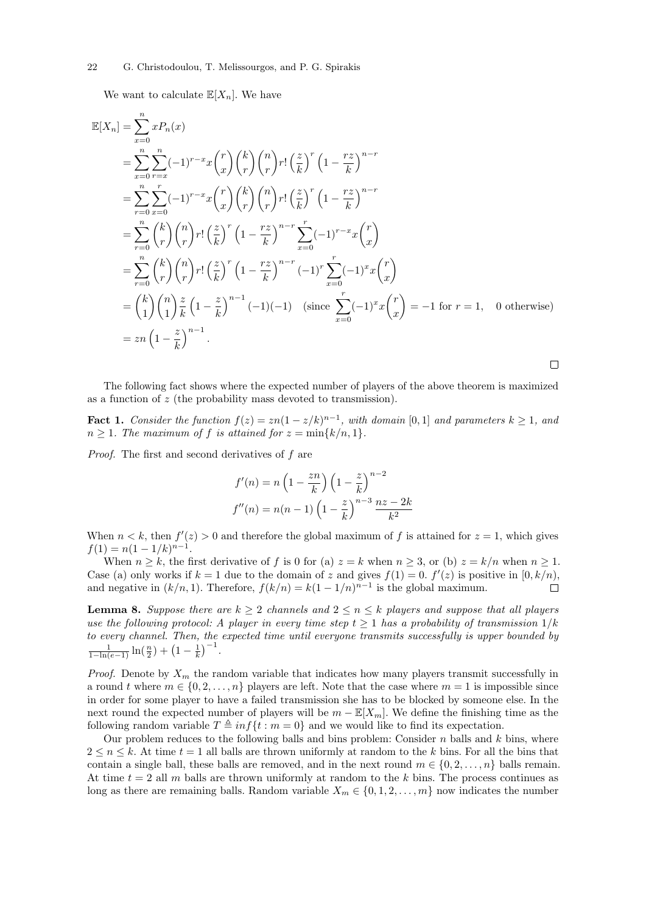#### 22 G. Christodoulou, T. Melissourgos, and P. G. Spirakis

We want to calculate  $\mathbb{E}[X_n]$ . We have

$$
\mathbb{E}[X_n] = \sum_{x=0}^n x P_n(x)
$$
  
\n
$$
= \sum_{x=0}^n \sum_{r=x}^n (-1)^{r-x} x {r \choose x} {k \choose r} {n \choose r} r! \left(\frac{z}{k}\right)^r \left(1 - \frac{rz}{k}\right)^{n-r}
$$
  
\n
$$
= \sum_{r=0}^n \sum_{x=0}^r (-1)^{r-x} x {r \choose x} {k \choose r} {n \choose r} r! \left(\frac{z}{k}\right)^r \left(1 - \frac{rz}{k}\right)^{n-r}
$$
  
\n
$$
= \sum_{r=0}^n {k \choose r} {n \choose r} r! \left(\frac{z}{k}\right)^r \left(1 - \frac{rz}{k}\right)^{n-r} \sum_{x=0}^r (-1)^{r-x} x {r \choose x}
$$
  
\n
$$
= \sum_{r=0}^n {k \choose r} {n \choose r} r! \left(\frac{z}{k}\right)^r \left(1 - \frac{rz}{k}\right)^{n-r} (-1)^r \sum_{x=0}^r (-1)^x x {r \choose x}
$$
  
\n
$$
= {k \choose 1} {n \choose 1} \frac{z}{k} \left(1 - \frac{z}{k}\right)^{n-1} (-1)(-1) \quad (\text{since } \sum_{x=0}^r (-1)^x x {r \choose x} = -1 \text{ for } r = 1, \quad 0 \text{ otherwise})
$$
  
\n
$$
= zn \left(1 - \frac{z}{k}\right)^{n-1}.
$$

The following fact shows where the expected number of players of the above theorem is maximized as a function of z (the probability mass devoted to transmission).

<span id="page-21-0"></span>**Fact 1.** Consider the function  $f(z) = zn(1 - z/k)^{n-1}$ , with domain [0, 1] and parameters  $k \ge 1$ , and  $n \geq 1$ . The maximum of f is attained for  $z = \min\{k/n, 1\}$ .

Proof. The first and second derivatives of f are

$$
f'(n) = n\left(1 - \frac{zn}{k}\right)\left(1 - \frac{z}{k}\right)^{n-2}
$$

$$
f''(n) = n(n-1)\left(1 - \frac{z}{k}\right)^{n-3}\frac{nz - 2k}{k^2}
$$

When  $n < k$ , then  $f'(z) > 0$  and therefore the global maximum of f is attained for  $z = 1$ , which gives  $f(1) = n(1 - 1/k)^{n-1}.$ 

When  $n \geq k$ , the first derivative of f is 0 for (a)  $z = k$  when  $n \geq 3$ , or (b)  $z = k/n$  when  $n \geq 1$ . Case (a) only works if  $k = 1$  due to the domain of z and gives  $f(1) = 0$ .  $f'(z)$  is positive in  $[0, k/n)$ , and negative in  $(k/n, 1)$ . Therefore,  $f(k/n) = k(1 - 1/n)^{n-1}$  is the global maximum.  $\Box$ 

<span id="page-21-1"></span>**Lemma 8.** Suppose there are  $k \geq 2$  channels and  $2 \leq n \leq k$  players and suppose that all players use the following protocol: A player in every time step  $t \geq 1$  has a probability of transmission  $1/k$ to every channel. Then, the expected time until everyone transmits successfully is upper bounded by  $\frac{1}{1-\ln(e-1)}\ln(\frac{n}{2}) + (1-\frac{1}{k})^{-1}.$ 

*Proof.* Denote by  $X_m$  the random variable that indicates how many players transmit successfully in a round t where  $m \in \{0, 2, ..., n\}$  players are left. Note that the case where  $m = 1$  is impossible since in order for some player to have a failed transmission she has to be blocked by someone else. In the next round the expected number of players will be  $m - \mathbb{E}[X_m]$ . We define the finishing time as the following random variable  $T \triangleq inf\{t : m = 0\}$  and we would like to find its expectation.

Our problem reduces to the following balls and bins problem: Consider  $n$  balls and  $k$  bins, where  $2 \leq n \leq k$ . At time  $t = 1$  all balls are thrown uniformly at random to the k bins. For all the bins that contain a single ball, these balls are removed, and in the next round  $m \in \{0, 2, \ldots, n\}$  balls remain. At time  $t = 2$  all m balls are thrown uniformly at random to the k bins. The process continues as long as there are remaining balls. Random variable  $X_m \in \{0, 1, 2, \ldots, m\}$  now indicates the number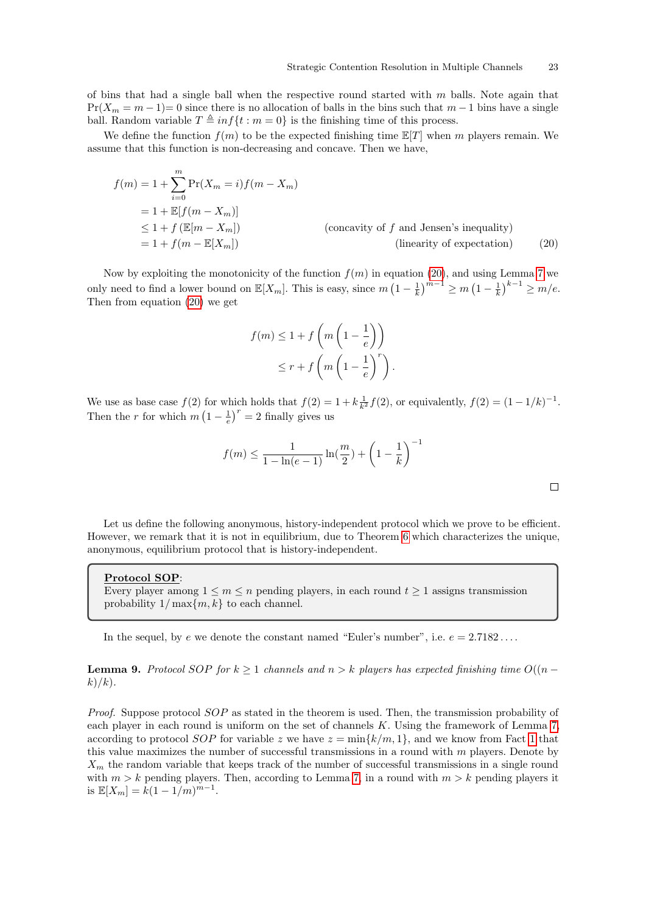of bins that had a single ball when the respective round started with  $m$  balls. Note again that  $Pr(X_m = m - 1) = 0$  since there is no allocation of balls in the bins such that  $m - 1$  bins have a single ball. Random variable  $T \triangleq inf\{t : m = 0\}$  is the finishing time of this process.

We define the function  $f(m)$  to be the expected finishing time  $\mathbb{E}[T]$  when m players remain. We assume that this function is non-decreasing and concave. Then we have,

$$
f(m) = 1 + \sum_{i=0}^{m} \Pr(X_m = i) f(m - X_m)
$$
  
= 1 +  $\mathbb{E}[f(m - X_m)]$   
 $\leq 1 + f(\mathbb{E}[m - X_m])$  (concavity of f and Jensen's inequality)  
= 1 +  $f(m - \mathbb{E}[X_m])$  (linearity of expectation) (20)

Now by exploiting the monotonicity of the function  $f(m)$  in equation [\(20\)](#page-22-1), and using Lemma [7](#page-19-0) we only need to find a lower bound on  $\mathbb{E}[X_m]$ . This is easy, since  $m\left(1-\frac{1}{k}\right)^{m-1} \geq m\left(1-\frac{1}{k}\right)^{k-1} \geq m/e$ . Then from equation [\(20\)](#page-22-1) we get

$$
f(m) \le 1 + f\left(m\left(1 - \frac{1}{e}\right)\right)
$$
  

$$
\le r + f\left(m\left(1 - \frac{1}{e}\right)^r\right).
$$

We use as base case  $f(2)$  for which holds that  $f(2) = 1 + k \frac{1}{k^2} f(2)$ , or equivalently,  $f(2) = (1 - 1/k)^{-1}$ . Then the r for which  $m\left(1-\frac{1}{e}\right)^r=2$  finally gives us

$$
f(m) \le \frac{1}{1 - \ln(e-1)} \ln(\frac{m}{2}) + \left(1 - \frac{1}{k}\right)^{-1}
$$

<span id="page-22-1"></span>

Let us define the following anonymous, history-independent protocol which we prove to be efficient. However, we remark that it is not in equilibrium, due to Theorem [6](#page-15-5) which characterizes the unique, anonymous, equilibrium protocol that is history-independent.

#### Protocol SOP:

Every player among  $1 \leq m \leq n$  pending players, in each round  $t \geq 1$  assigns transmission probability  $1/\max\{m, k\}$  to each channel.

<span id="page-22-0"></span>In the sequel, by  $e$  we denote the constant named "Euler's number", i.e.  $e = 2.7182...$ 

**Lemma 9.** Protocol SOP for  $k \geq 1$  channels and  $n > k$  players has expected finishing time  $O((n - k)$  $k)/k$ ).

Proof. Suppose protocol SOP as stated in the theorem is used. Then, the transmission probability of each player in each round is uniform on the set of channels  $K$ . Using the framework of Lemma [7,](#page-19-0) according to protocol SOP for variable z we have  $z = \min\{k/m, 1\}$  $z = \min\{k/m, 1\}$  $z = \min\{k/m, 1\}$ , and we know from Fact 1 that this value maximizes the number of successful transmissions in a round with  $m$  players. Denote by  $X_m$  the random variable that keeps track of the number of successful transmissions in a single round with  $m > k$  pending players. Then, according to Lemma [7,](#page-19-0) in a round with  $m > k$  pending players it is  $\mathbb{E}[X_m] = k(1 - 1/m)^{m-1}$ .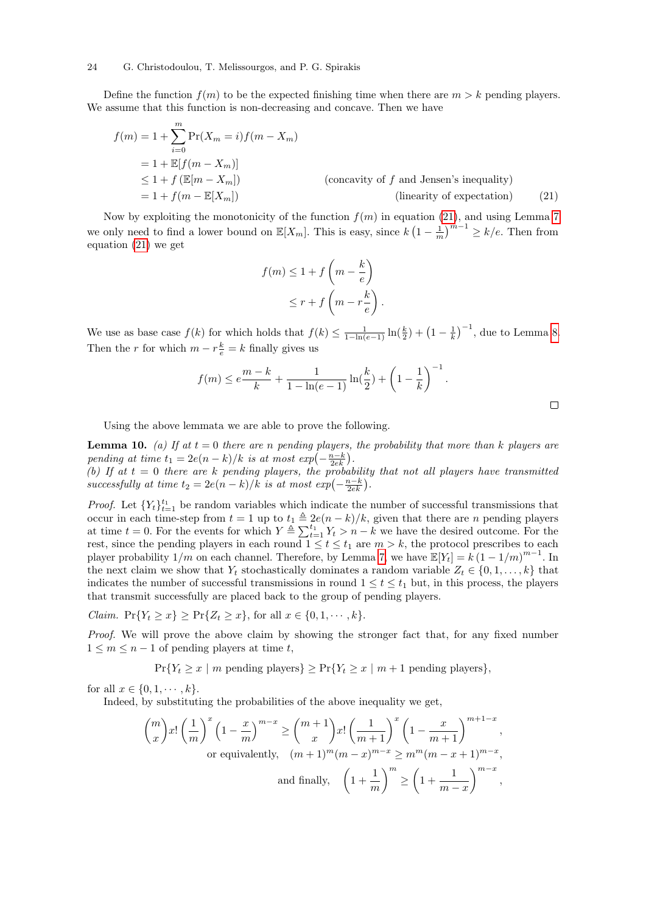Define the function  $f(m)$  to be the expected finishing time when there are  $m > k$  pending players. We assume that this function is non-decreasing and concave. Then we have

$$
f(m) = 1 + \sum_{i=0}^{m} \Pr(X_m = i) f(m - X_m)
$$
  
= 1 +  $\mathbb{E}[f(m - X_m)]$   
 $\leq 1 + f(\mathbb{E}[m - X_m])$  (concavity of f and Jensen's inequality)  
= 1 +  $f(m - \mathbb{E}[X_m])$  (linearity of expectation) (21)

Now by exploiting the monotonicity of the function  $f(m)$  in equation [\(21\)](#page-23-0), and using Lemma [7](#page-19-0) we only need to find a lower bound on  $\mathbb{E}[X_m]$ . This is easy, since  $k\left(1-\frac{1}{m}\right)^{m-1} \geq k/e$ . Then from equation [\(21\)](#page-23-0) we get

<span id="page-23-0"></span>
$$
f(m) \le 1 + f\left(m - \frac{k}{e}\right)
$$
  

$$
\le r + f\left(m - r\frac{k}{e}\right).
$$

We use as base case  $f(k)$  for which holds that  $f(k) \leq \frac{1}{1-\ln(e-1)} \ln(\frac{k}{2}) + (1-\frac{1}{k})^{-1}$ , due to Lemma [8.](#page-21-1) Then the r for which  $m - r\frac{k}{e} = k$  finally gives us

$$
f(m) \le e^{\frac{m-k}{k}} + \frac{1}{1-\ln(e-1)}\ln(\frac{k}{2}) + \left(1 - \frac{1}{k}\right)^{-1}.
$$

Using the above lemmata we are able to prove the following.

<span id="page-23-1"></span>**Lemma 10.** (a) If at  $t = 0$  there are n pending players, the probability that more than k players are pending at time  $t_1 = 2e(n-k)/k$  is at most  $exp(-\frac{n-k}{2ek})$ .

(b) If at  $t = 0$  there are k pending players, the probability that not all players have transmitted successfully at time  $t_2 = 2e(n-k)/k$  is at most  $exp(-\frac{n-k}{2ek})$ .

*Proof.* Let  ${Y_t}_{t=1}^{t_1}$  be random variables which indicate the number of successful transmissions that occur in each time-step from  $t = 1$  up to  $t_1 \triangleq 2e(n - k)/k$ , given that there are n pending players at time  $t = 0$ . For the events for which  $Y \triangleq \sum_{t=1}^{t_1} Y_t > n - k$  we have the desired outcome. For the rest, since the pending players in each round  $1 \le t \le t_1$  are  $m > k$ , the protocol prescribes to each player probability  $1/m$  on each channel. Therefore, by Lemma [7,](#page-19-0) we have  $\mathbb{E}[Y_t] = k(1 - 1/m)^{m-1}$ . In the next claim we show that  $Y_t$  stochastically dominates a random variable  $Z_t \in \{0, 1, \ldots, k\}$  that indicates the number of successful transmissions in round  $1 \le t \le t_1$  but, in this process, the players that transmit successfully are placed back to the group of pending players.

*Claim.*  $Pr{Y_t \geq x} \geq Pr{Z_t \geq x}$ , for all  $x \in \{0, 1, \dots, k\}$ .

Proof. We will prove the above claim by showing the stronger fact that, for any fixed number  $1 \leq m \leq n-1$  of pending players at time t,

$$
Pr{Y_t \ge x \mid m \text{ pending players}} \ge Pr{Y_t \ge x \mid m+1 \text{ pending players}},
$$

for all  $x \in \{0, 1, \dots, k\}.$ 

Indeed, by substituting the probabilities of the above inequality we get,

$$
\binom{m}{x} x! \left(\frac{1}{m}\right)^x \left(1 - \frac{x}{m}\right)^{m-x} \ge \binom{m+1}{x} x! \left(\frac{1}{m+1}\right)^x \left(1 - \frac{x}{m+1}\right)^{m+1-x},
$$
\nor equivalently,  $(m+1)^m (m-x)^{m-x} \ge m^m (m-x+1)^{m-x},$   
\nand finally,  $\left(1 + \frac{1}{m}\right)^m \ge \left(1 + \frac{1}{m-x}\right)^{m-x},$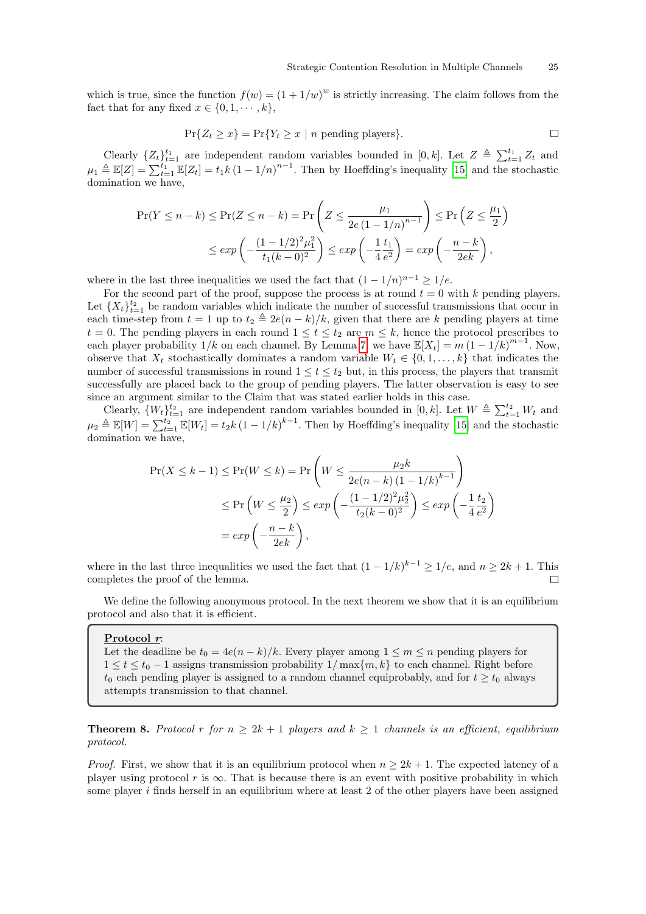which is true, since the function  $f(w) = (1 + 1/w)^w$  is strictly increasing. The claim follows from the fact that for any fixed  $x \in \{0, 1, \dots, k\},\$ 

$$
\Pr\{Z_t \ge x\} = \Pr\{Y_t \ge x \mid n \text{ pending players}\}.
$$

Clearly  $\{Z_t\}_{t=1}^{t_1}$  are independent random variables bounded in  $[0, k]$ . Let  $Z \triangleq \sum_{t=1}^{t_1} Z_t$  and  $\mu_1 \triangleq \mathbb{E}[Z] = \sum_{t=1}^{t_1} \mathbb{E}[Z_t] = t_1 k (1 - 1/n)^{n-1}$ . Then by Hoeffding's inequality [\[15\]](#page-26-20) and the stochastic domination we have,

$$
\Pr(Y \le n - k) \le \Pr(Z \le n - k) = \Pr\left(Z \le \frac{\mu_1}{2e\left(1 - 1/n\right)^{n-1}}\right) \le \Pr\left(Z \le \frac{\mu_1}{2}\right)
$$

$$
\le \exp\left(-\frac{(1 - 1/2)^2 \mu_1^2}{t_1 (k - 0)^2}\right) \le \exp\left(-\frac{1}{4} \frac{t_1}{e^2}\right) = \exp\left(-\frac{n - k}{2ek}\right),
$$

where in the last three inequalities we used the fact that  $(1 - 1/n)^{n-1} \geq 1/e$ .

For the second part of the proof, suppose the process is at round  $t = 0$  with k pending players. Let  $\{X_t\}_{t=1}^{t_2}$  be random variables which indicate the number of successful transmissions that occur in each time-step from  $t = 1$  up to  $t_2 \triangleq 2e(n - k)/k$ , given that there are k pending players at time  $t = 0$ . The pending players in each round  $1 \le t \le t_2$  are  $m \le k$ , hence the protocol prescribes to each player probability  $1/k$  on each channel. By Lemma [7,](#page-19-0) we have  $\mathbb{E}[X_t] = m(1 - 1/k)^{m-1}$ . Now, observe that  $X_t$  stochastically dominates a random variable  $W_t \in \{0, 1, \ldots, k\}$  that indicates the number of successful transmissions in round  $1 \le t \le t_2$  but, in this process, the players that transmit successfully are placed back to the group of pending players. The latter observation is easy to see since an argument similar to the Claim that was stated earlier holds in this case.

Clearly,  $\{W_t\}_{t=1}^{t_2}$  are independent random variables bounded in  $[0, k]$ . Let  $W \triangleq \sum_{t=1}^{t_2} W_t$  and  $\mu_2 \triangleq \mathbb{E}[W] = \sum_{t=1}^{t_2} \mathbb{E}[W_t] = t_2 k (1 - 1/k)^{k-1}$ . Then by Hoeffding's inequality [\[15\]](#page-26-20) and the stochastic domination we have,

$$
\Pr(X \le k - 1) \le \Pr(W \le k) = \Pr\left(W \le \frac{\mu_2 k}{2e(n - k)(1 - 1/k)^{k - 1}}\right)
$$
  

$$
\le \Pr\left(W \le \frac{\mu_2}{2}\right) \le \exp\left(-\frac{(1 - 1/2)^2 \mu_2^2}{t_2(k - 0)^2}\right) \le \exp\left(-\frac{1}{4}\frac{t_2}{e^2}\right)
$$
  

$$
= \exp\left(-\frac{n - k}{2ek}\right),
$$

where in the last three inequalities we used the fact that  $(1 - 1/k)^{k-1} \ge 1/e$ , and  $n \ge 2k + 1$ . This completes the proof of the lemma.  $\Box$ 

We define the following anonymous protocol. In the next theorem we show that it is an equilibrium protocol and also that it is efficient.

#### Protocol r:

Let the deadline be  $t_0 = 4e(n-k)/k$ . Every player among  $1 \leq m \leq n$  pending players for  $1 \leq t \leq t_0 - 1$  assigns transmission probability  $1/\max\{m, k\}$  to each channel. Right before  $t_0$  each pending player is assigned to a random channel equiprobably, and for  $t \geq t_0$  always attempts transmission to that channel.

<span id="page-24-0"></span>**Theorem 8.** Protocol r for  $n \geq 2k + 1$  players and  $k \geq 1$  channels is an efficient, equilibrium protocol.

*Proof.* First, we show that it is an equilibrium protocol when  $n \geq 2k + 1$ . The expected latency of a player using protocol r is  $\infty$ . That is because there is an event with positive probability in which some player i finds herself in an equilibrium where at least 2 of the other players have been assigned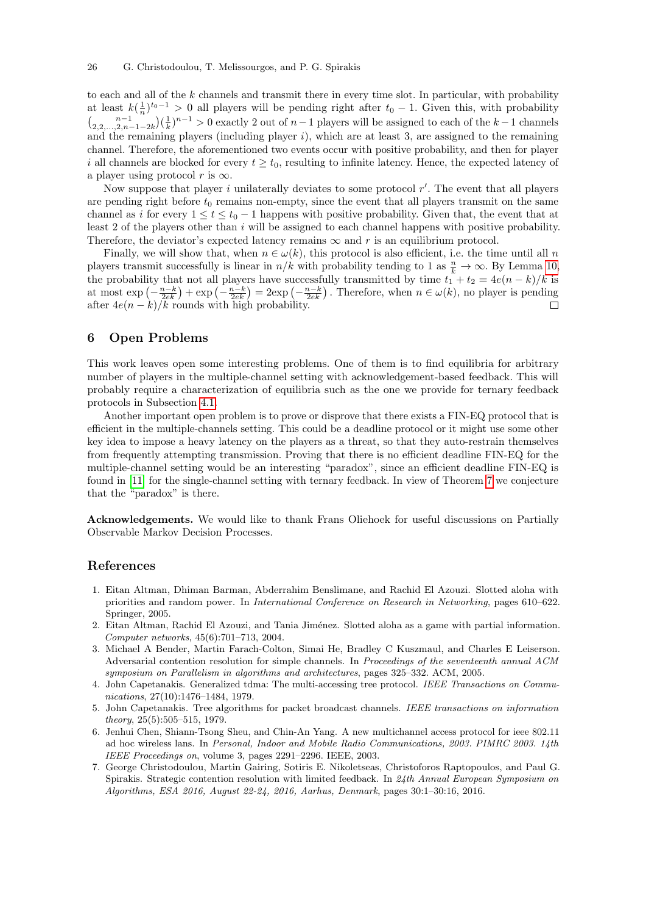to each and all of the  $k$  channels and transmit there in every time slot. In particular, with probability at least  $k(\frac{1}{n})^{t_0-1} > 0$  all players will be pending right after  $t_0 - 1$ . Given this, with probability  $\binom{n-1}{2,2,\ldots,2,n-1-2k}(\frac{1}{k})^{n-1} > 0$  exactly 2 out of  $n-1$  players will be assigned to each of the  $k-1$  channels and the remaining players (including player  $i$ ), which are at least 3, are assigned to the remaining channel. Therefore, the aforementioned two events occur with positive probability, and then for player i all channels are blocked for every  $t \geq t_0$ , resulting to infinite latency. Hence, the expected latency of a player using protocol r is  $\infty$ .

Now suppose that player i unilaterally deviates to some protocol  $r'$ . The event that all players are pending right before  $t_0$  remains non-empty, since the event that all players transmit on the same channel as i for every  $1 \le t \le t_0 - 1$  happens with positive probability. Given that, the event that at least 2 of the players other than i will be assigned to each channel happens with positive probability. Therefore, the deviator's expected latency remains  $\infty$  and r is an equilibrium protocol.

Finally, we will show that, when  $n \in \omega(k)$ , this protocol is also efficient, i.e. the time until all n players transmit successfully is linear in  $n/k$  with probability tending to 1 as  $\frac{n}{k} \to \infty$ . By Lemma [10,](#page-23-1) the probability that not all players have successfully transmitted by time  $t_1 + t_2 = 4e(n - k)/k$  is at most  $\exp\left(-\frac{n-k}{2ek}\right) + \exp\left(-\frac{n-k}{2ek}\right) = 2\exp\left(-\frac{n-k}{2ek}\right)$ . Therefore, when  $n \in \omega(k)$ , no player is pending after  $4e(n-k)/k$  rounds with high probability.  $\Box$ 

# 6 Open Problems

This work leaves open some interesting problems. One of them is to find equilibria for arbitrary number of players in the multiple-channel setting with acknowledgement-based feedback. This will probably require a characterization of equilibria such as the one we provide for ternary feedback protocols in Subsection [4.1.](#page-14-2)

Another important open problem is to prove or disprove that there exists a FIN-EQ protocol that is efficient in the multiple-channels setting. This could be a deadline protocol or it might use some other key idea to impose a heavy latency on the players as a threat, so that they auto-restrain themselves from frequently attempting transmission. Proving that there is no efficient deadline FIN-EQ for the multiple-channel setting would be an interesting "paradox", since an efficient deadline FIN-EQ is found in [\[11\]](#page-26-6) for the single-channel setting with ternary feedback. In view of Theorem [7](#page-17-0) we conjecture that the "paradox" is there.

Acknowledgements. We would like to thank Frans Oliehoek for useful discussions on Partially Observable Markov Decision Processes.

# References

- <span id="page-25-6"></span>1. Eitan Altman, Dhiman Barman, Abderrahim Benslimane, and Rachid El Azouzi. Slotted aloha with priorities and random power. In International Conference on Research in Networking, pages 610–622. Springer, 2005.
- <span id="page-25-1"></span>2. Eitan Altman, Rachid El Azouzi, and Tania Jiménez. Slotted aloha as a game with partial information. Computer networks, 45(6):701–713, 2004.
- <span id="page-25-5"></span>3. Michael A Bender, Martin Farach-Colton, Simai He, Bradley C Kuszmaul, and Charles E Leiserson. Adversarial contention resolution for simple channels. In *Proceedings of the seventeenth annual ACM* symposium on Parallelism in algorithms and architectures, pages 325–332. ACM, 2005.
- <span id="page-25-3"></span>4. John Capetanakis. Generalized tdma: The multi-accessing tree protocol. IEEE Transactions on Communications, 27(10):1476–1484, 1979.
- <span id="page-25-4"></span>5. John Capetanakis. Tree algorithms for packet broadcast channels. IEEE transactions on information theory, 25(5):505–515, 1979.
- <span id="page-25-0"></span>6. Jenhui Chen, Shiann-Tsong Sheu, and Chin-An Yang. A new multichannel access protocol for ieee 802.11 ad hoc wireless lans. In Personal, Indoor and Mobile Radio Communications, 2003. PIMRC 2003. 14th IEEE Proceedings on, volume 3, pages 2291–2296. IEEE, 2003.
- <span id="page-25-2"></span>7. George Christodoulou, Martin Gairing, Sotiris E. Nikoletseas, Christoforos Raptopoulos, and Paul G. Spirakis. Strategic contention resolution with limited feedback. In 24th Annual European Symposium on Algorithms, ESA 2016, August 22-24, 2016, Aarhus, Denmark, pages 30:1–30:16, 2016.